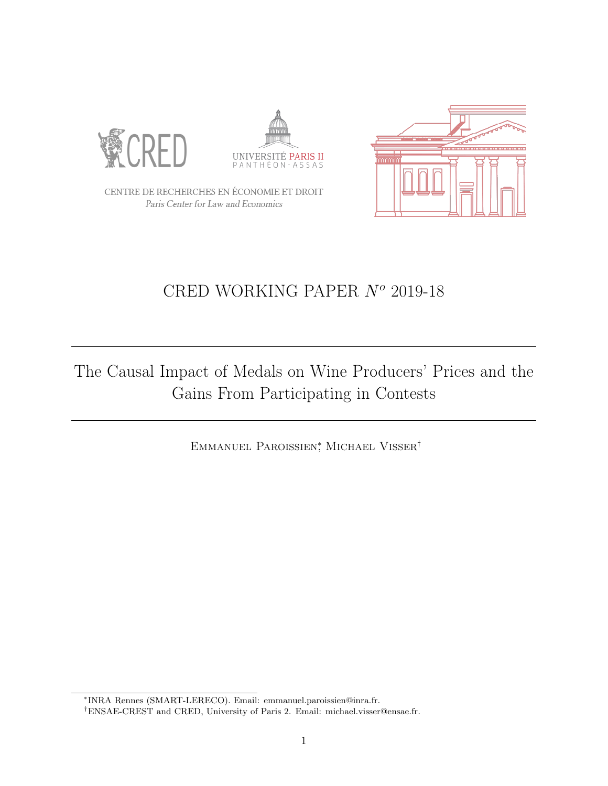





CENTRE DE RECHERCHES EN ÉCONOMIE ET DROIT Paris Center for Law and Economics

# CRED WORKING PAPER  $N<sup>o</sup>$  2019-18

# The Causal Impact of Medals on Wine Producers' Prices and the Gains From Participating in Contests

Emmanuel Paroissien<sup>∗</sup> , Michael Visser†

<sup>∗</sup> INRA Rennes (SMART-LERECO). Email: emmanuel.paroissien@inra.fr.

<sup>†</sup>ENSAE-CREST and CRED, University of Paris 2. Email: michael.visser@ensae.fr.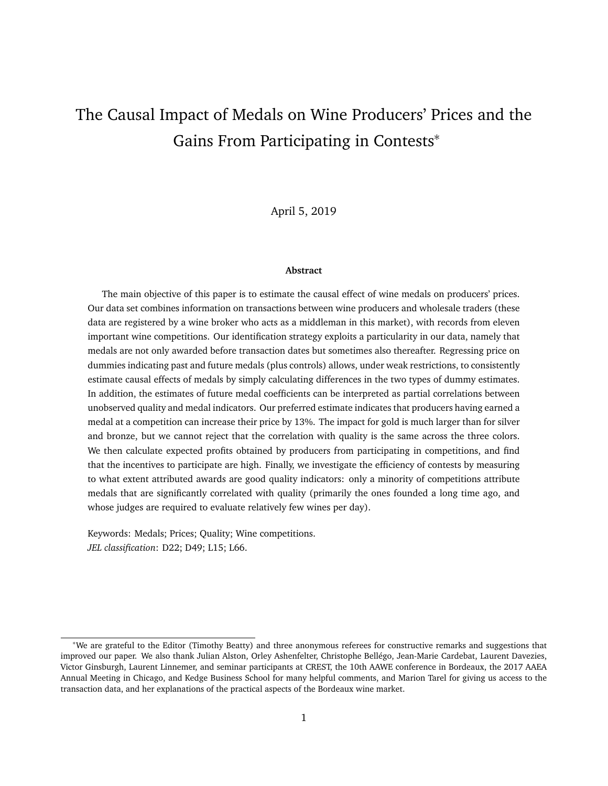# The Causal Impact of Medals on Wine Producers' Prices and the Gains From Participating in Contests<sup>\*</sup>

April 5, 2019

#### **Abstract**

The main objective of this paper is to estimate the causal effect of wine medals on producers' prices. Our data set combines information on transactions between wine producers and wholesale traders (these data are registered by a wine broker who acts as a middleman in this market), with records from eleven important wine competitions. Our identification strategy exploits a particularity in our data, namely that medals are not only awarded before transaction dates but sometimes also thereafter. Regressing price on dummies indicating past and future medals (plus controls) allows, under weak restrictions, to consistently estimate causal effects of medals by simply calculating differences in the two types of dummy estimates. In addition, the estimates of future medal coefficients can be interpreted as partial correlations between unobserved quality and medal indicators. Our preferred estimate indicates that producers having earned a medal at a competition can increase their price by 13%. The impact for gold is much larger than for silver and bronze, but we cannot reject that the correlation with quality is the same across the three colors. We then calculate expected profits obtained by producers from participating in competitions, and find that the incentives to participate are high. Finally, we investigate the efficiency of contests by measuring to what extent attributed awards are good quality indicators: only a minority of competitions attribute medals that are significantly correlated with quality (primarily the ones founded a long time ago, and whose judges are required to evaluate relatively few wines per day).

Keywords: Medals; Prices; Quality; Wine competitions. *JEL classification*: D22; D49; L15; L66.

<sup>∗</sup>We are grateful to the Editor (Timothy Beatty) and three anonymous referees for constructive remarks and suggestions that improved our paper. We also thank Julian Alston, Orley Ashenfelter, Christophe Bellégo, Jean-Marie Cardebat, Laurent Davezies, Victor Ginsburgh, Laurent Linnemer, and seminar participants at CREST, the 10th AAWE conference in Bordeaux, the 2017 AAEA Annual Meeting in Chicago, and Kedge Business School for many helpful comments, and Marion Tarel for giving us access to the transaction data, and her explanations of the practical aspects of the Bordeaux wine market.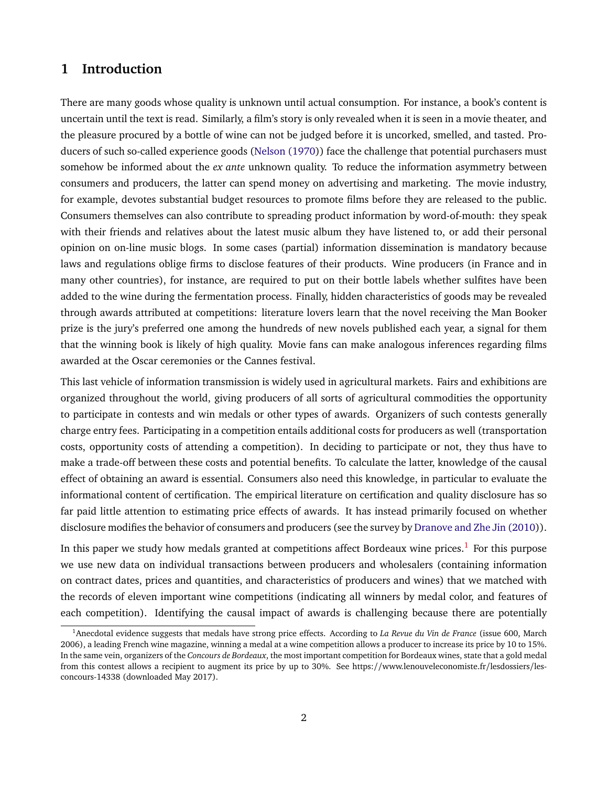## **1 Introduction**

There are many goods whose quality is unknown until actual consumption. For instance, a book's content is uncertain until the text is read. Similarly, a film's story is only revealed when it is seen in a movie theater, and the pleasure procured by a bottle of wine can not be judged before it is uncorked, smelled, and tasted. Producers of such so-called experience goods (Nelson (1970)) face the challenge that potential purchasers must somehow be informed about the *ex ante* unknown quality. To reduce the information asymmetry between consumers and producers, the latter can spend money on advertising and marketing. The movie industry, for example, devotes substantial budget resources to promote films before they are released to the public. Consumers themselves can also contribute to spreading product information by word-of-mouth: they speak with their friends and relatives about the latest music album they have listened to, or add their personal opinion on on-line music blogs. In some cases (partial) information dissemination is mandatory because laws and regulations oblige firms to disclose features of their products. Wine producers (in France and in many other countries), for instance, are required to put on their bottle labels whether sulfites have been added to the wine during the fermentation process. Finally, hidden characteristics of goods may be revealed through awards attributed at competitions: literature lovers learn that the novel receiving the Man Booker prize is the jury's preferred one among the hundreds of new novels published each year, a signal for them that the winning book is likely of high quality. Movie fans can make analogous inferences regarding films awarded at the Oscar ceremonies or the Cannes festival.

This last vehicle of information transmission is widely used in agricultural markets. Fairs and exhibitions are organized throughout the world, giving producers of all sorts of agricultural commodities the opportunity to participate in contests and win medals or other types of awards. Organizers of such contests generally charge entry fees. Participating in a competition entails additional costs for producers as well (transportation costs, opportunity costs of attending a competition). In deciding to participate or not, they thus have to make a trade-off between these costs and potential benefits. To calculate the latter, knowledge of the causal effect of obtaining an award is essential. Consumers also need this knowledge, in particular to evaluate the informational content of certification. The empirical literature on certification and quality disclosure has so far paid little attention to estimating price effects of awards. It has instead primarily focused on whether disclosure modifies the behavior of consumers and producers (see the survey by Dranove and Zhe Jin (2010)).

In this paper we study how medals granted at competitions affect Bordeaux wine prices.<sup>1</sup> For this purpose we use new data on individual transactions between producers and wholesalers (containing information on contract dates, prices and quantities, and characteristics of producers and wines) that we matched with the records of eleven important wine competitions (indicating all winners by medal color, and features of each competition). Identifying the causal impact of awards is challenging because there are potentially

<sup>1</sup>Anecdotal evidence suggests that medals have strong price effects. According to *La Revue du Vin de France* (issue 600, March 2006), a leading French wine magazine, winning a medal at a wine competition allows a producer to increase its price by 10 to 15%. In the same vein, organizers of the *Concours de Bordeaux*, the most important competition for Bordeaux wines, state that a gold medal from this contest allows a recipient to augment its price by up to 30%. See https://www.lenouveleconomiste.fr/lesdossiers/lesconcours-14338 (downloaded May 2017).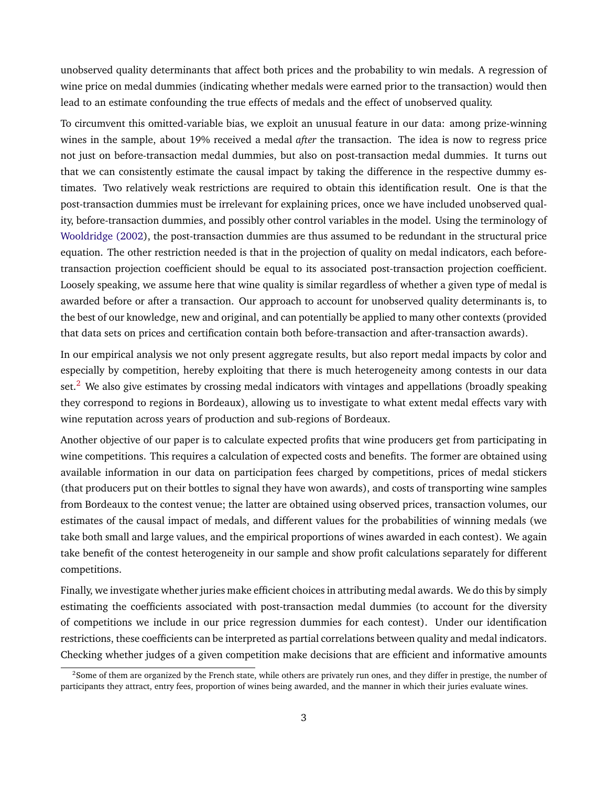unobserved quality determinants that affect both prices and the probability to win medals. A regression of wine price on medal dummies (indicating whether medals were earned prior to the transaction) would then lead to an estimate confounding the true effects of medals and the effect of unobserved quality.

To circumvent this omitted-variable bias, we exploit an unusual feature in our data: among prize-winning wines in the sample, about 19% received a medal *after* the transaction. The idea is now to regress price not just on before-transaction medal dummies, but also on post-transaction medal dummies. It turns out that we can consistently estimate the causal impact by taking the difference in the respective dummy estimates. Two relatively weak restrictions are required to obtain this identification result. One is that the post-transaction dummies must be irrelevant for explaining prices, once we have included unobserved quality, before-transaction dummies, and possibly other control variables in the model. Using the terminology of Wooldridge (2002), the post-transaction dummies are thus assumed to be redundant in the structural price equation. The other restriction needed is that in the projection of quality on medal indicators, each beforetransaction projection coefficient should be equal to its associated post-transaction projection coefficient. Loosely speaking, we assume here that wine quality is similar regardless of whether a given type of medal is awarded before or after a transaction. Our approach to account for unobserved quality determinants is, to the best of our knowledge, new and original, and can potentially be applied to many other contexts (provided that data sets on prices and certification contain both before-transaction and after-transaction awards).

In our empirical analysis we not only present aggregate results, but also report medal impacts by color and especially by competition, hereby exploiting that there is much heterogeneity among contests in our data set.<sup>2</sup> We also give estimates by crossing medal indicators with vintages and appellations (broadly speaking they correspond to regions in Bordeaux), allowing us to investigate to what extent medal effects vary with wine reputation across years of production and sub-regions of Bordeaux.

Another objective of our paper is to calculate expected profits that wine producers get from participating in wine competitions. This requires a calculation of expected costs and benefits. The former are obtained using available information in our data on participation fees charged by competitions, prices of medal stickers (that producers put on their bottles to signal they have won awards), and costs of transporting wine samples from Bordeaux to the contest venue; the latter are obtained using observed prices, transaction volumes, our estimates of the causal impact of medals, and different values for the probabilities of winning medals (we take both small and large values, and the empirical proportions of wines awarded in each contest). We again take benefit of the contest heterogeneity in our sample and show profit calculations separately for different competitions.

Finally, we investigate whether juries make efficient choices in attributing medal awards. We do this by simply estimating the coefficients associated with post-transaction medal dummies (to account for the diversity of competitions we include in our price regression dummies for each contest). Under our identification restrictions, these coefficients can be interpreted as partial correlations between quality and medal indicators. Checking whether judges of a given competition make decisions that are efficient and informative amounts

<sup>&</sup>lt;sup>2</sup>Some of them are organized by the French state, while others are privately run ones, and they differ in prestige, the number of participants they attract, entry fees, proportion of wines being awarded, and the manner in which their juries evaluate wines.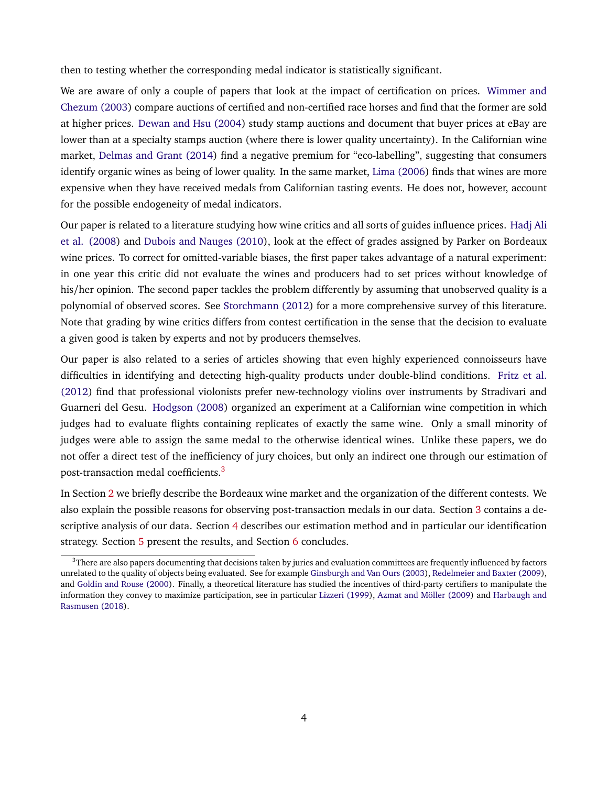then to testing whether the corresponding medal indicator is statistically significant.

We are aware of only a couple of papers that look at the impact of certification on prices. Wimmer and Chezum (2003) compare auctions of certified and non-certified race horses and find that the former are sold at higher prices. Dewan and Hsu (2004) study stamp auctions and document that buyer prices at eBay are lower than at a specialty stamps auction (where there is lower quality uncertainty). In the Californian wine market, Delmas and Grant (2014) find a negative premium for "eco-labelling", suggesting that consumers identify organic wines as being of lower quality. In the same market, Lima (2006) finds that wines are more expensive when they have received medals from Californian tasting events. He does not, however, account for the possible endogeneity of medal indicators.

Our paper is related to a literature studying how wine critics and all sorts of guides influence prices. Hadj Ali et al. (2008) and Dubois and Nauges (2010), look at the effect of grades assigned by Parker on Bordeaux wine prices. To correct for omitted-variable biases, the first paper takes advantage of a natural experiment: in one year this critic did not evaluate the wines and producers had to set prices without knowledge of his/her opinion. The second paper tackles the problem differently by assuming that unobserved quality is a polynomial of observed scores. See Storchmann (2012) for a more comprehensive survey of this literature. Note that grading by wine critics differs from contest certification in the sense that the decision to evaluate a given good is taken by experts and not by producers themselves.

Our paper is also related to a series of articles showing that even highly experienced connoisseurs have difficulties in identifying and detecting high-quality products under double-blind conditions. Fritz et al. (2012) find that professional violonists prefer new-technology violins over instruments by Stradivari and Guarneri del Gesu. Hodgson (2008) organized an experiment at a Californian wine competition in which judges had to evaluate flights containing replicates of exactly the same wine. Only a small minority of judges were able to assign the same medal to the otherwise identical wines. Unlike these papers, we do not offer a direct test of the inefficiency of jury choices, but only an indirect one through our estimation of post-transaction medal coefficients.<sup>3</sup>

In Section 2 we briefly describe the Bordeaux wine market and the organization of the different contests. We also explain the possible reasons for observing post-transaction medals in our data. Section 3 contains a descriptive analysis of our data. Section 4 describes our estimation method and in particular our identification strategy. Section 5 present the results, and Section 6 concludes.

<sup>&</sup>lt;sup>3</sup>There are also papers documenting that decisions taken by juries and evaluation committees are frequently influenced by factors unrelated to the quality of objects being evaluated. See for example Ginsburgh and Van Ours (2003), Redelmeier and Baxter (2009), and Goldin and Rouse (2000). Finally, a theoretical literature has studied the incentives of third-party certifiers to manipulate the information they convey to maximize participation, see in particular Lizzeri (1999), Azmat and Möller (2009) and Harbaugh and Rasmusen (2018).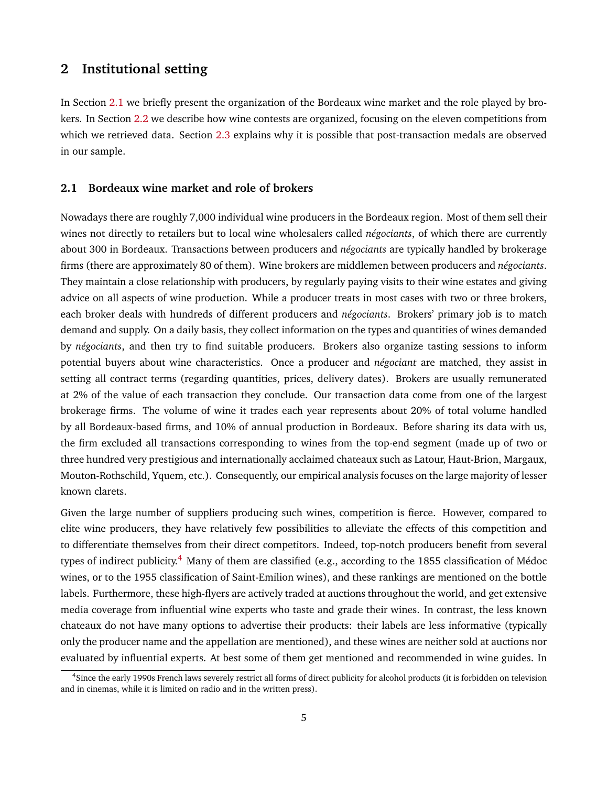## **2 Institutional setting**

In Section 2.1 we briefly present the organization of the Bordeaux wine market and the role played by brokers. In Section 2.2 we describe how wine contests are organized, focusing on the eleven competitions from which we retrieved data. Section 2.3 explains why it is possible that post-transaction medals are observed in our sample.

### **2.1 Bordeaux wine market and role of brokers**

Nowadays there are roughly 7,000 individual wine producers in the Bordeaux region. Most of them sell their wines not directly to retailers but to local wine wholesalers called *négociants*, of which there are currently about 300 in Bordeaux. Transactions between producers and *négociants* are typically handled by brokerage firms (there are approximately 80 of them). Wine brokers are middlemen between producers and *négociants*. They maintain a close relationship with producers, by regularly paying visits to their wine estates and giving advice on all aspects of wine production. While a producer treats in most cases with two or three brokers, each broker deals with hundreds of different producers and *négociants*. Brokers' primary job is to match demand and supply. On a daily basis, they collect information on the types and quantities of wines demanded by *négociants*, and then try to find suitable producers. Brokers also organize tasting sessions to inform potential buyers about wine characteristics. Once a producer and *négociant* are matched, they assist in setting all contract terms (regarding quantities, prices, delivery dates). Brokers are usually remunerated at 2% of the value of each transaction they conclude. Our transaction data come from one of the largest brokerage firms. The volume of wine it trades each year represents about 20% of total volume handled by all Bordeaux-based firms, and 10% of annual production in Bordeaux. Before sharing its data with us, the firm excluded all transactions corresponding to wines from the top-end segment (made up of two or three hundred very prestigious and internationally acclaimed chateaux such as Latour, Haut-Brion, Margaux, Mouton-Rothschild, Yquem, etc.). Consequently, our empirical analysis focuses on the large majority of lesser known clarets.

Given the large number of suppliers producing such wines, competition is fierce. However, compared to elite wine producers, they have relatively few possibilities to alleviate the effects of this competition and to differentiate themselves from their direct competitors. Indeed, top-notch producers benefit from several types of indirect publicity.<sup>4</sup> Many of them are classified (e.g., according to the 1855 classification of Médoc wines, or to the 1955 classification of Saint-Emilion wines), and these rankings are mentioned on the bottle labels. Furthermore, these high-flyers are actively traded at auctions throughout the world, and get extensive media coverage from influential wine experts who taste and grade their wines. In contrast, the less known chateaux do not have many options to advertise their products: their labels are less informative (typically only the producer name and the appellation are mentioned), and these wines are neither sold at auctions nor evaluated by influential experts. At best some of them get mentioned and recommended in wine guides. In

<sup>4</sup>Since the early 1990s French laws severely restrict all forms of direct publicity for alcohol products (it is forbidden on television and in cinemas, while it is limited on radio and in the written press).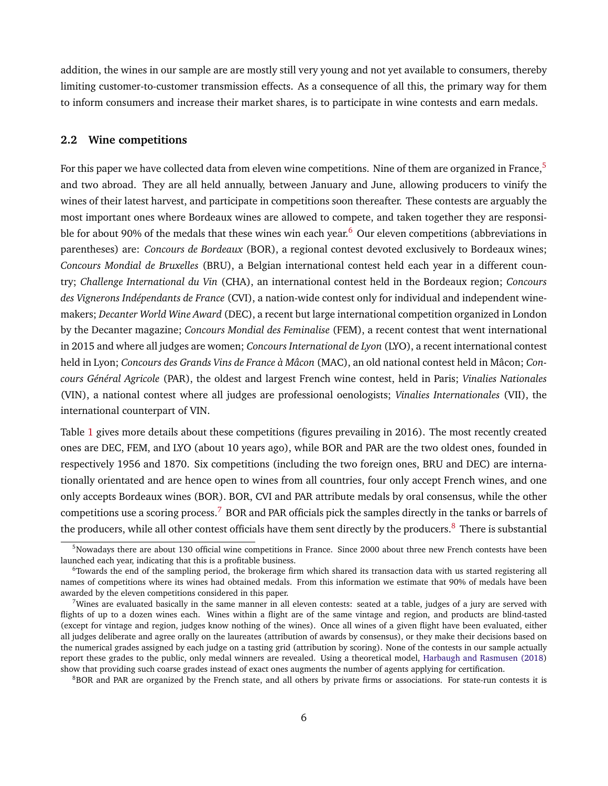addition, the wines in our sample are are mostly still very young and not yet available to consumers, thereby limiting customer-to-customer transmission effects. As a consequence of all this, the primary way for them to inform consumers and increase their market shares, is to participate in wine contests and earn medals.

### **2.2 Wine competitions**

For this paper we have collected data from eleven wine competitions. Nine of them are organized in France,<sup>5</sup> and two abroad. They are all held annually, between January and June, allowing producers to vinify the wines of their latest harvest, and participate in competitions soon thereafter. These contests are arguably the most important ones where Bordeaux wines are allowed to compete, and taken together they are responsible for about 90% of the medals that these wines win each year.<sup>6</sup> Our eleven competitions (abbreviations in parentheses) are: *Concours de Bordeaux* (BOR), a regional contest devoted exclusively to Bordeaux wines; *Concours Mondial de Bruxelles* (BRU), a Belgian international contest held each year in a different country; *Challenge International du Vin* (CHA), an international contest held in the Bordeaux region; *Concours des Vignerons Indépendants de France* (CVI), a nation-wide contest only for individual and independent winemakers; *Decanter World Wine Award* (DEC), a recent but large international competition organized in London by the Decanter magazine; *Concours Mondial des Feminalise* (FEM), a recent contest that went international in 2015 and where all judges are women; *Concours International de Lyon* (LYO), a recent international contest held in Lyon; *Concours des Grands Vins de France à Mâcon* (MAC), an old national contest held in Mâcon; *Concours Général Agricole* (PAR), the oldest and largest French wine contest, held in Paris; *Vinalies Nationales* (VIN), a national contest where all judges are professional oenologists; *Vinalies Internationales* (VII), the international counterpart of VIN.

Table 1 gives more details about these competitions (figures prevailing in 2016). The most recently created ones are DEC, FEM, and LYO (about 10 years ago), while BOR and PAR are the two oldest ones, founded in respectively 1956 and 1870. Six competitions (including the two foreign ones, BRU and DEC) are internationally orientated and are hence open to wines from all countries, four only accept French wines, and one only accepts Bordeaux wines (BOR). BOR, CVI and PAR attribute medals by oral consensus, while the other competitions use a scoring process.<sup>7</sup> BOR and PAR officials pick the samples directly in the tanks or barrels of the producers, while all other contest officials have them sent directly by the producers.<sup>8</sup> There is substantial

<sup>8</sup>BOR and PAR are organized by the French state, and all others by private firms or associations. For state-run contests it is

 $5$ Nowadays there are about 130 official wine competitions in France. Since 2000 about three new French contests have been launched each year, indicating that this is a profitable business.

 $6$ Towards the end of the sampling period, the brokerage firm which shared its transaction data with us started registering all names of competitions where its wines had obtained medals. From this information we estimate that 90% of medals have been awarded by the eleven competitions considered in this paper.

 $7$ Wines are evaluated basically in the same manner in all eleven contests: seated at a table, judges of a jury are served with flights of up to a dozen wines each. Wines within a flight are of the same vintage and region, and products are blind-tasted (except for vintage and region, judges know nothing of the wines). Once all wines of a given flight have been evaluated, either all judges deliberate and agree orally on the laureates (attribution of awards by consensus), or they make their decisions based on the numerical grades assigned by each judge on a tasting grid (attribution by scoring). None of the contests in our sample actually report these grades to the public, only medal winners are revealed. Using a theoretical model, Harbaugh and Rasmusen (2018) show that providing such coarse grades instead of exact ones augments the number of agents applying for certification.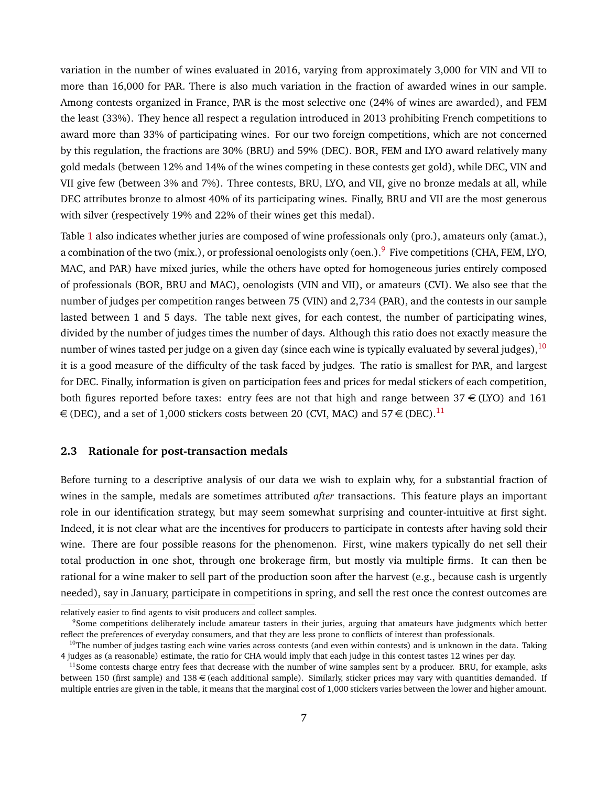variation in the number of wines evaluated in 2016, varying from approximately 3,000 for VIN and VII to more than 16,000 for PAR. There is also much variation in the fraction of awarded wines in our sample. Among contests organized in France, PAR is the most selective one (24% of wines are awarded), and FEM the least (33%). They hence all respect a regulation introduced in 2013 prohibiting French competitions to award more than 33% of participating wines. For our two foreign competitions, which are not concerned by this regulation, the fractions are 30% (BRU) and 59% (DEC). BOR, FEM and LYO award relatively many gold medals (between 12% and 14% of the wines competing in these contests get gold), while DEC, VIN and VII give few (between 3% and 7%). Three contests, BRU, LYO, and VII, give no bronze medals at all, while DEC attributes bronze to almost 40% of its participating wines. Finally, BRU and VII are the most generous with silver (respectively 19% and 22% of their wines get this medal).

Table 1 also indicates whether juries are composed of wine professionals only (pro.), amateurs only (amat.), a combination of the two (mix.), or professional oenologists only (oen.).<sup>9</sup> Five competitions (CHA, FEM, LYO, MAC, and PAR) have mixed juries, while the others have opted for homogeneous juries entirely composed of professionals (BOR, BRU and MAC), oenologists (VIN and VII), or amateurs (CVI). We also see that the number of judges per competition ranges between 75 (VIN) and 2,734 (PAR), and the contests in our sample lasted between 1 and 5 days. The table next gives, for each contest, the number of participating wines, divided by the number of judges times the number of days. Although this ratio does not exactly measure the number of wines tasted per judge on a given day (since each wine is typically evaluated by several judges),  $10$ it is a good measure of the difficulty of the task faced by judges. The ratio is smallest for PAR, and largest for DEC. Finally, information is given on participation fees and prices for medal stickers of each competition, both figures reported before taxes: entry fees are not that high and range between  $37 \in (LYO)$  and 161 € (DEC), and a set of 1,000 stickers costs between 20 (CVI, MAC) and 57 € (DEC).<sup>11</sup>

### **2.3 Rationale for post-transaction medals**

Before turning to a descriptive analysis of our data we wish to explain why, for a substantial fraction of wines in the sample, medals are sometimes attributed *after* transactions. This feature plays an important role in our identification strategy, but may seem somewhat surprising and counter-intuitive at first sight. Indeed, it is not clear what are the incentives for producers to participate in contests after having sold their wine. There are four possible reasons for the phenomenon. First, wine makers typically do net sell their total production in one shot, through one brokerage firm, but mostly via multiple firms. It can then be rational for a wine maker to sell part of the production soon after the harvest (e.g., because cash is urgently needed), say in January, participate in competitions in spring, and sell the rest once the contest outcomes are

relatively easier to find agents to visit producers and collect samples.

<sup>9</sup>Some competitions deliberately include amateur tasters in their juries, arguing that amateurs have judgments which better reflect the preferences of everyday consumers, and that they are less prone to conflicts of interest than professionals.

 $10$ The number of judges tasting each wine varies across contests (and even within contests) and is unknown in the data. Taking 4 judges as (a reasonable) estimate, the ratio for CHA would imply that each judge in this contest tastes 12 wines per day.

 $11$ Some contests charge entry fees that decrease with the number of wine samples sent by a producer. BRU, for example, asks between 150 (first sample) and 138 $\in$  (each additional sample). Similarly, sticker prices may vary with quantities demanded. If multiple entries are given in the table, it means that the marginal cost of 1,000 stickers varies between the lower and higher amount.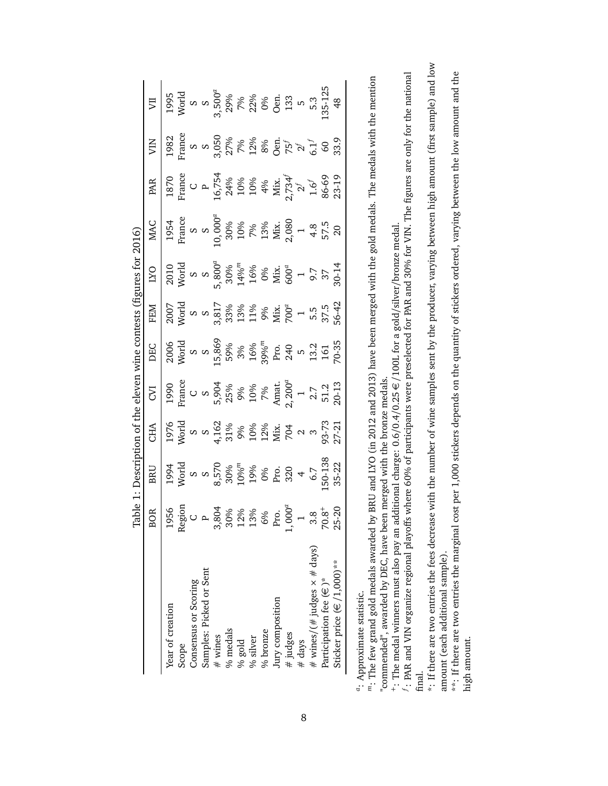|                                    | Table                                                                                                                       |                                                                                               |                                                     | escription of the eleven wine contests                        |                                                 |                            | (figures for $2016$ )                                                                                                                                                                                                                                                                                           |                                                                                                                            |                                                           |                                                                                                    |                                                                |
|------------------------------------|-----------------------------------------------------------------------------------------------------------------------------|-----------------------------------------------------------------------------------------------|-----------------------------------------------------|---------------------------------------------------------------|-------------------------------------------------|----------------------------|-----------------------------------------------------------------------------------------------------------------------------------------------------------------------------------------------------------------------------------------------------------------------------------------------------------------|----------------------------------------------------------------------------------------------------------------------------|-----------------------------------------------------------|----------------------------------------------------------------------------------------------------|----------------------------------------------------------------|
|                                    | <b>BOR</b>                                                                                                                  | BRU                                                                                           | CHA                                                 | Б                                                             | DEC                                             | EEM                        | <b>DXI</b>                                                                                                                                                                                                                                                                                                      | MAC                                                                                                                        | PAR                                                       | Š                                                                                                  |                                                                |
| Year of creation                   |                                                                                                                             |                                                                                               |                                                     |                                                               |                                                 |                            |                                                                                                                                                                                                                                                                                                                 | 1954<br>France<br>S<br>$\begin{array}{c} 1954 \ \text{S} \\ 5 \\ 0.0006 \\ 30\% \\ 7\% \\ 7\% \\ 13\% \\ 13\% \end{array}$ |                                                           |                                                                                                    |                                                                |
| Scope                              |                                                                                                                             |                                                                                               | 1976<br>Norld<br>S                                  |                                                               |                                                 | 2007<br>Norld              |                                                                                                                                                                                                                                                                                                                 |                                                                                                                            |                                                           |                                                                                                    |                                                                |
| Consensus or Scoring               |                                                                                                                             |                                                                                               |                                                     |                                                               |                                                 | $\circ$                    |                                                                                                                                                                                                                                                                                                                 |                                                                                                                            |                                                           |                                                                                                    |                                                                |
| Samples: Picked or Sent            |                                                                                                                             |                                                                                               |                                                     |                                                               |                                                 | $\circ$                    |                                                                                                                                                                                                                                                                                                                 |                                                                                                                            |                                                           |                                                                                                    |                                                                |
| $#$ wines                          | 1956<br>Region<br>$\Gamma$ P<br>$\frac{1}{3}$ , 804<br>$\frac{30\%}{12\%}$ $\frac{8\%}{6\%}$<br>Fro.<br>1, 000 <sup>d</sup> | 1994<br>World<br>S<br>S<br>S<br>30%<br>19%<br>C<br>C<br>C<br>C<br>20<br>20<br>20<br>20<br>320 | $4,162$<br>$31%$<br>$9%$<br>$10%$<br>$10%$<br>$12%$ |                                                               | 2006<br>World<br>S. 869<br>S. 39%<br>16%<br>16% | 3,817<br>33%<br>13%<br>11% | $2010$<br>World<br>S<br>S<br>S<br>S<br>S<br>S<br>S<br>O<br>S<br>S<br>S<br>O<br>S<br>S<br>S<br>Nix<br>Nix<br>Nix<br>Nix<br>Nix<br>Noted<br>Noted<br>Noted<br>Noted<br>Noted<br>Noted<br>Noted<br>Noted<br>Noted<br>Noted<br>Noted<br>Noted<br>Noted<br>Noted<br>Noted<br>Noted<br>Noted<br>Noted<br>Noted<br>Not |                                                                                                                            | 1870<br>France<br>C<br>P<br>P<br>24%<br>20%<br>10%<br>10% | 1982<br>France<br>S<br>3,050<br>27%<br>28%<br>28%<br>29%<br>29%<br>29%<br>29%<br>29%<br>29%<br>29% |                                                                |
| % medals                           |                                                                                                                             |                                                                                               |                                                     |                                                               |                                                 |                            |                                                                                                                                                                                                                                                                                                                 |                                                                                                                            |                                                           |                                                                                                    |                                                                |
| % $g$ old                          |                                                                                                                             |                                                                                               |                                                     |                                                               |                                                 |                            |                                                                                                                                                                                                                                                                                                                 |                                                                                                                            |                                                           |                                                                                                    |                                                                |
| % silver                           |                                                                                                                             |                                                                                               |                                                     |                                                               |                                                 |                            |                                                                                                                                                                                                                                                                                                                 |                                                                                                                            |                                                           |                                                                                                    |                                                                |
| % bronze                           |                                                                                                                             |                                                                                               |                                                     |                                                               |                                                 | 9%                         |                                                                                                                                                                                                                                                                                                                 |                                                                                                                            |                                                           |                                                                                                    |                                                                |
| Jury composition                   |                                                                                                                             |                                                                                               | Mix.                                                |                                                               |                                                 | Mix.                       |                                                                                                                                                                                                                                                                                                                 | Mix.<br>2,080                                                                                                              |                                                           |                                                                                                    |                                                                |
| $#$ judges                         |                                                                                                                             |                                                                                               | 704                                                 | 1990<br>France<br>5,904<br>5,9%<br>7%<br>7%<br>Amat.<br>Amat. | Pro.<br>240                                     | $700^a$                    |                                                                                                                                                                                                                                                                                                                 |                                                                                                                            | Mix.<br>$2,734$<br>$2^f$                                  |                                                                                                    | 1995<br>World S<br>8 9 9 9 9 9 9 9 9 9 1 33<br>1 33 9 9 9 1 33 |
| $#$ days                           |                                                                                                                             |                                                                                               |                                                     |                                                               | $\sqrt{2}$                                      |                            | $\overline{a}$                                                                                                                                                                                                                                                                                                  |                                                                                                                            |                                                           |                                                                                                    |                                                                |
| # wines/(# judges $\times$ # days) | ო                                                                                                                           | $6.7$                                                                                         | $\mathfrak{S}$                                      | $2.7$<br>51.2                                                 | 13.2<br>161                                     |                            | $9.7$<br>$37$<br>$37$<br>$30.14$                                                                                                                                                                                                                                                                                |                                                                                                                            | $1.6^{f}$<br>86-69                                        | $6.1^{f}$                                                                                          | $\frac{5.3}{35-125}$                                           |
| Participation fee $(\in)$ *        | ∞. ∞                                                                                                                        | 50-138                                                                                        | 93-73<br>27-21                                      |                                                               |                                                 | $5.5$<br>37.5              |                                                                                                                                                                                                                                                                                                                 | $4.8$<br>57.5<br>20                                                                                                        |                                                           |                                                                                                    |                                                                |
| Sticker price $(\in/1,000)$ **     | $\approx$<br>55                                                                                                             | 35-22                                                                                         |                                                     | $20 - 13$                                                     | $-35$                                           | $-42$                      |                                                                                                                                                                                                                                                                                                                 |                                                                                                                            | 23-19                                                     | 33.9                                                                                               |                                                                |
|                                    |                                                                                                                             |                                                                                               |                                                     |                                                               |                                                 |                            |                                                                                                                                                                                                                                                                                                                 |                                                                                                                            |                                                           |                                                                                                    |                                                                |

<sup>a</sup>: Approximate statistic. *a*: Approximate statistic.

 $m$ : The few grand gold medals awarded by BRU and LYO (in 2012 and 2013) have been merged with the gold medals. The medals with the mention *m*: The few grand gold medals awarded by BRU and LYO (in 2012 and 2013) have been merged with the gold medals. The medals with the mention "commended", awarded by DEC, have been merged with the bronze medals. "commended", awarded by DEC, have been merged with the bronze medals.

 $^+$ : The medal winners must also pay an additional charge: 0.6/0.4/0.25 €/100L for a gold/silver/bronze medal.

final.<br>\*: If there are two entries the fees decrease with the number of wine samples sent by the producer, varying between high amount (first sample) and low <sup>+</sup>: The medal winners must also pay an additional charge: 0.6/0.4/0.25  $\in$  /100L for a gold/silver/bronze medal.<br><sup>f</sup>: PAR and VIN organize regional playoffs where 60% of participants were preselected for PAR and 30% for *f* : PAR and VIN organize regional playoffs where 60% of participants were preselected for PAR and 30% for VIN. The figures are only for the national

\*: If there are two entries the fees decrease with the number of wine samples sent by the producer, varying between high amount (first sample) and low amount (each additional sample). amount (each additional sample).

\*\*: If there are two entries the marginal cost per 1,000 stickers depends on the quantity of stickers ordered, varying between the low amount and the \*\*: If there are two entries the marginal cost per 1,000 stickers depends on the quantity of stickers ordered, varying between the low amount and the high amount. high amount.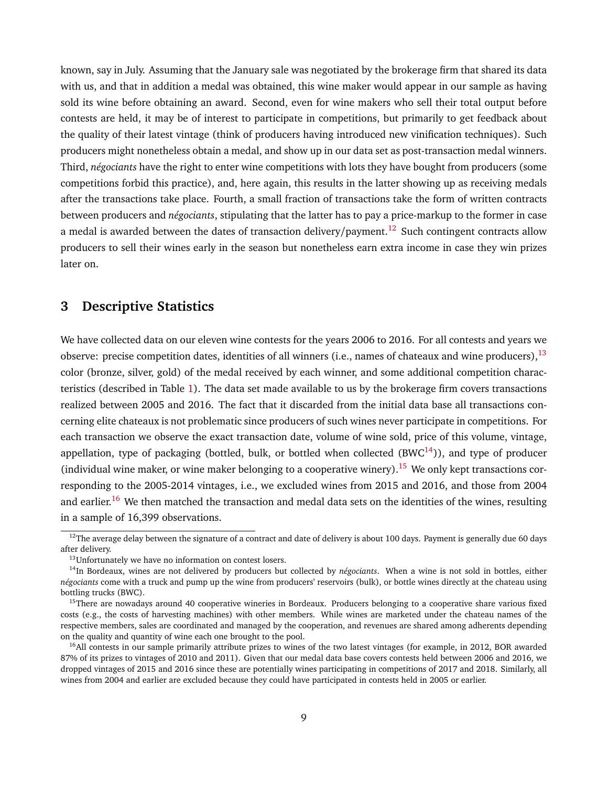known, say in July. Assuming that the January sale was negotiated by the brokerage firm that shared its data with us, and that in addition a medal was obtained, this wine maker would appear in our sample as having sold its wine before obtaining an award. Second, even for wine makers who sell their total output before contests are held, it may be of interest to participate in competitions, but primarily to get feedback about the quality of their latest vintage (think of producers having introduced new vinification techniques). Such producers might nonetheless obtain a medal, and show up in our data set as post-transaction medal winners. Third, *négociants* have the right to enter wine competitions with lots they have bought from producers (some competitions forbid this practice), and, here again, this results in the latter showing up as receiving medals after the transactions take place. Fourth, a small fraction of transactions take the form of written contracts between producers and *négociants*, stipulating that the latter has to pay a price-markup to the former in case a medal is awarded between the dates of transaction delivery/payment.<sup>12</sup> Such contingent contracts allow producers to sell their wines early in the season but nonetheless earn extra income in case they win prizes later on.

## **3 Descriptive Statistics**

We have collected data on our eleven wine contests for the years 2006 to 2016. For all contests and years we observe: precise competition dates, identities of all winners (i.e., names of chateaux and wine producers),  $^{13}$ color (bronze, silver, gold) of the medal received by each winner, and some additional competition characteristics (described in Table 1). The data set made available to us by the brokerage firm covers transactions realized between 2005 and 2016. The fact that it discarded from the initial data base all transactions concerning elite chateaux is not problematic since producers of such wines never participate in competitions. For each transaction we observe the exact transaction date, volume of wine sold, price of this volume, vintage, appellation, type of packaging (bottled, bulk, or bottled when collected  $(BWC^{14})$ ), and type of producer (individual wine maker, or wine maker belonging to a cooperative winery).<sup>15</sup> We only kept transactions corresponding to the 2005-2014 vintages, i.e., we excluded wines from 2015 and 2016, and those from 2004 and earlier.<sup>16</sup> We then matched the transaction and medal data sets on the identities of the wines, resulting in a sample of 16,399 observations.

 $12$ The average delay between the signature of a contract and date of delivery is about 100 days. Payment is generally due 60 days after delivery.

<sup>&</sup>lt;sup>13</sup>Unfortunately we have no information on contest losers.

<sup>14</sup>In Bordeaux, wines are not delivered by producers but collected by *négociants*. When a wine is not sold in bottles, either *négociants* come with a truck and pump up the wine from producers' reservoirs (bulk), or bottle wines directly at the chateau using bottling trucks (BWC).

<sup>&</sup>lt;sup>15</sup>There are nowadays around 40 cooperative wineries in Bordeaux. Producers belonging to a cooperative share various fixed costs (e.g., the costs of harvesting machines) with other members. While wines are marketed under the chateau names of the respective members, sales are coordinated and managed by the cooperation, and revenues are shared among adherents depending on the quality and quantity of wine each one brought to the pool.

<sup>&</sup>lt;sup>16</sup>All contests in our sample primarily attribute prizes to wines of the two latest vintages (for example, in 2012, BOR awarded 87% of its prizes to vintages of 2010 and 2011). Given that our medal data base covers contests held between 2006 and 2016, we dropped vintages of 2015 and 2016 since these are potentially wines participating in competitions of 2017 and 2018. Similarly, all wines from 2004 and earlier are excluded because they could have participated in contests held in 2005 or earlier.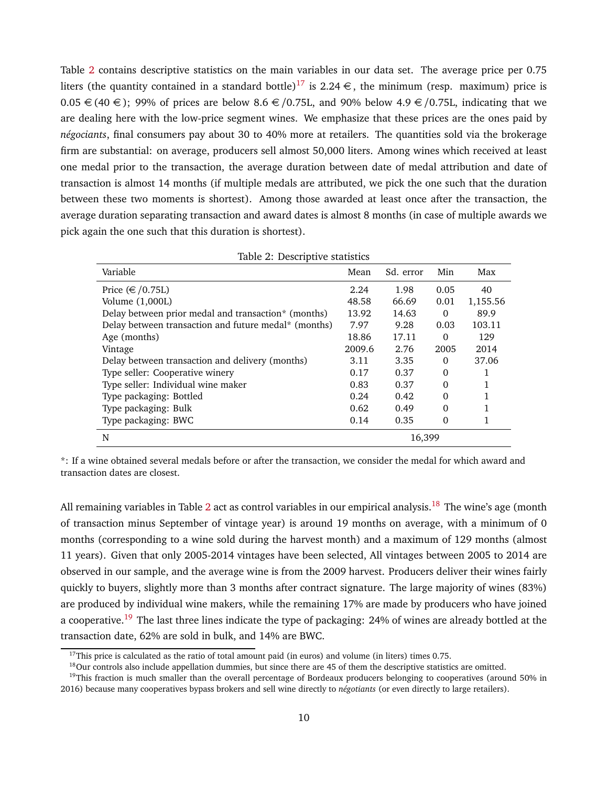Table 2 contains descriptive statistics on the main variables in our data set. The average price per 0.75 liters (the quantity contained in a standard bottle)<sup>17</sup> is 2.24  $\epsilon$ , the minimum (resp. maximum) price is 0.05 €(40 €); 99% of prices are below 8.6 €/0.75L, and 90% below 4.9 €/0.75L, indicating that we are dealing here with the low-price segment wines. We emphasize that these prices are the ones paid by *négociants*, final consumers pay about 30 to 40% more at retailers. The quantities sold via the brokerage firm are substantial: on average, producers sell almost 50,000 liters. Among wines which received at least one medal prior to the transaction, the average duration between date of medal attribution and date of transaction is almost 14 months (if multiple medals are attributed, we pick the one such that the duration between these two moments is shortest). Among those awarded at least once after the transaction, the average duration separating transaction and award dates is almost 8 months (in case of multiple awards we pick again the one such that this duration is shortest).

| Variable                                             | Mean   | Sd. error | Min      | Max      |
|------------------------------------------------------|--------|-----------|----------|----------|
| Price $(\in / 0.75L)$                                | 2.24   | 1.98      | 0.05     | 40       |
| Volume (1,000L)                                      | 48.58  | 66.69     | 0.01     | 1,155.56 |
| Delay between prior medal and transaction* (months)  | 13.92  | 14.63     | 0        | 89.9     |
| Delay between transaction and future medal* (months) | 7.97   | 9.28      | 0.03     | 103.11   |
| Age (months)                                         | 18.86  | 17.11     | $\Omega$ | 129      |
| Vintage                                              | 2009.6 | 2.76      | 2005     | 2014     |
| Delay between transaction and delivery (months)      | 3.11   | 3.35      | $\Omega$ | 37.06    |
| Type seller: Cooperative winery                      | 0.17   | 0.37      | 0        |          |
| Type seller: Individual wine maker                   | 0.83   | 0.37      | $\Omega$ |          |
| Type packaging: Bottled                              | 0.24   | 0.42      | 0        |          |
| Type packaging: Bulk                                 | 0.62   | 0.49      | 0        |          |
| Type packaging: BWC                                  | 0.14   | 0.35      | 0        |          |
| N                                                    |        | 16,399    |          |          |

|  | Table 2: Descriptive statistics |  |
|--|---------------------------------|--|
|--|---------------------------------|--|

\*: If a wine obtained several medals before or after the transaction, we consider the medal for which award and transaction dates are closest.

All remaining variables in Table 2 act as control variables in our empirical analysis.<sup>18</sup> The wine's age (month of transaction minus September of vintage year) is around 19 months on average, with a minimum of 0 months (corresponding to a wine sold during the harvest month) and a maximum of 129 months (almost 11 years). Given that only 2005-2014 vintages have been selected, All vintages between 2005 to 2014 are observed in our sample, and the average wine is from the 2009 harvest. Producers deliver their wines fairly quickly to buyers, slightly more than 3 months after contract signature. The large majority of wines (83%) are produced by individual wine makers, while the remaining 17% are made by producers who have joined a cooperative.<sup>19</sup> The last three lines indicate the type of packaging: 24% of wines are already bottled at the transaction date, 62% are sold in bulk, and 14% are BWC.

 $17$ This price is calculated as the ratio of total amount paid (in euros) and volume (in liters) times 0.75.

 $18$ Our controls also include appellation dummies, but since there are 45 of them the descriptive statistics are omitted.

 $19$ This fraction is much smaller than the overall percentage of Bordeaux producers belonging to cooperatives (around 50% in 2016) because many cooperatives bypass brokers and sell wine directly to *négotiants* (or even directly to large retailers).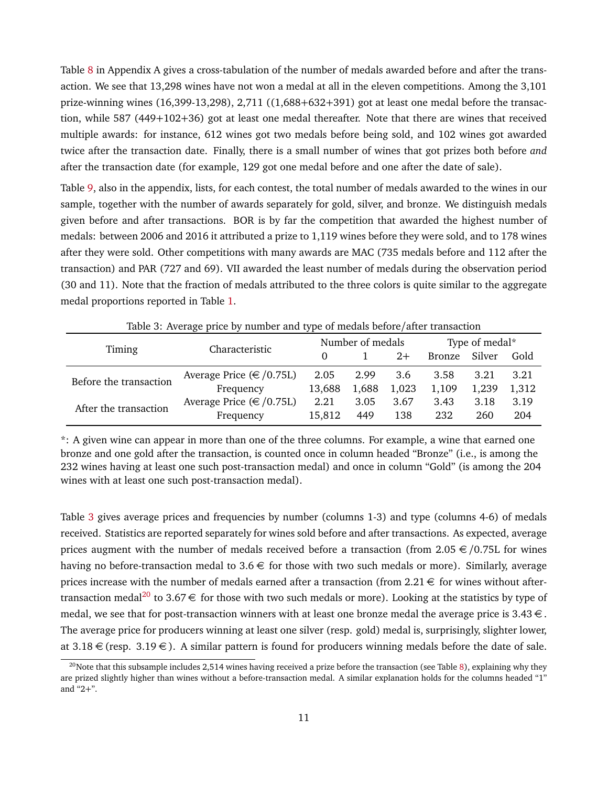Table 8 in Appendix A gives a cross-tabulation of the number of medals awarded before and after the transaction. We see that 13,298 wines have not won a medal at all in the eleven competitions. Among the 3,101 prize-winning wines (16,399-13,298), 2,711 ((1,688+632+391) got at least one medal before the transaction, while 587 (449+102+36) got at least one medal thereafter. Note that there are wines that received multiple awards: for instance, 612 wines got two medals before being sold, and 102 wines got awarded twice after the transaction date. Finally, there is a small number of wines that got prizes both before *and* after the transaction date (for example, 129 got one medal before and one after the date of sale).

Table 9, also in the appendix, lists, for each contest, the total number of medals awarded to the wines in our sample, together with the number of awards separately for gold, silver, and bronze. We distinguish medals given before and after transactions. BOR is by far the competition that awarded the highest number of medals: between 2006 and 2016 it attributed a prize to 1,119 wines before they were sold, and to 178 wines after they were sold. Other competitions with many awards are MAC (735 medals before and 112 after the transaction) and PAR (727 and 69). VII awarded the least number of medals during the observation period (30 and 11). Note that the fraction of medals attributed to the three colors is quite similar to the aggregate medal proportions reported in Table 1.

|                        | Characteristic                |        | Number of medals |       |               | Type of medal* |       |
|------------------------|-------------------------------|--------|------------------|-------|---------------|----------------|-------|
| Timing                 |                               |        |                  | $2+$  | <b>Bronze</b> | Silver         | Gold  |
| Before the transaction | Average Price $(\in / 0.75L)$ | 2.05   | 2.99             | 3.6   | 3.58          | 3.21           | 3.21  |
|                        | Frequency                     | 13,688 | 1,688            | 1,023 | 1,109         | 1,239          | 1,312 |
| After the transaction  | Average Price $(\in / 0.75L)$ | 2.21   | 3.05             | 3.67  | 3.43          | 3.18           | 3.19  |
|                        | Frequency                     | 15,812 | 449              | 138   | 232           | 260            | 204   |

Table 3: Average price by number and type of medals before/after transaction

\*: A given wine can appear in more than one of the three columns. For example, a wine that earned one bronze and one gold after the transaction, is counted once in column headed "Bronze" (i.e., is among the 232 wines having at least one such post-transaction medal) and once in column "Gold" (is among the 204 wines with at least one such post-transaction medal).

Table 3 gives average prices and frequencies by number (columns 1-3) and type (columns 4-6) of medals received. Statistics are reported separately for wines sold before and after transactions. As expected, average prices augment with the number of medals received before a transaction (from  $2.05 \in /0.75$ L for wines having no before-transaction medal to  $3.6 \in$  for those with two such medals or more). Similarly, average prices increase with the number of medals earned after a transaction (from  $2.21 \in$  for wines without aftertransaction medal<sup>20</sup> to 3.67  $\in$  for those with two such medals or more). Looking at the statistics by type of medal, we see that for post-transaction winners with at least one bronze medal the average price is  $3.43 \in .$ The average price for producers winning at least one silver (resp. gold) medal is, surprisingly, slighter lower, at  $3.18 \in ($ resp.  $3.19 \in)$ . A similar pattern is found for producers winning medals before the date of sale.

<sup>&</sup>lt;sup>20</sup>Note that this subsample includes 2,514 wines having received a prize before the transaction (see Table 8), explaining why they are prized slightly higher than wines without a before-transaction medal. A similar explanation holds for the columns headed "1" and "2+".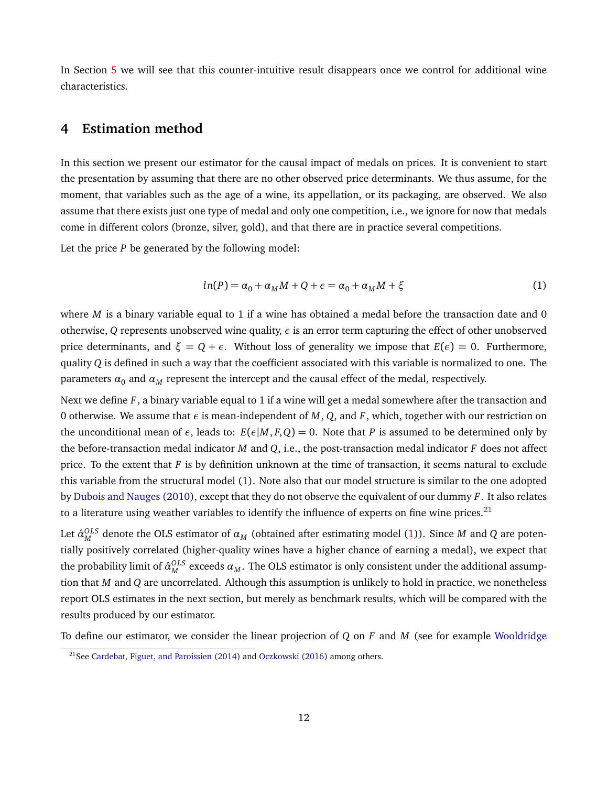In Section 5 we will see that this counter-intuitive result disappears once we control for additional wine characteristics.

## **4 Estimation method**

In this section we present our estimator for the causal impact of medals on prices. It is convenient to start the presentation by assuming that there are no other observed price determinants. We thus assume, for the moment, that variables such as the age of a wine, its appellation, or its packaging, are observed. We also assume that there exists just one type of medal and only one competition, i.e., we ignore for now that medals come in different colors (bronze, silver, gold), and that there are in practice several competitions.

Let the price *P* be generated by the following model:

$$
ln(P) = \alpha_0 + \alpha_M M + Q + \epsilon = \alpha_0 + \alpha_M M + \xi \tag{1}
$$

where *M* is a binary variable equal to 1 if a wine has obtained a medal before the transaction date and 0 otherwise, *Q* represents unobserved wine quality, *ε* is an error term capturing the effect of other unobserved price determinants, and  $\xi = Q + \epsilon$ . Without loss of generality we impose that  $E(\epsilon) = 0$ . Furthermore, quality *Q* is defined in such a way that the coefficient associated with this variable is normalized to one. The parameters  $\alpha_0$  and  $\alpha_M$  represent the intercept and the causal effect of the medal, respectively.

Next we define *F*, a binary variable equal to 1 if a wine will get a medal somewhere after the transaction and 0 otherwise. We assume that  $\epsilon$  is mean-independent of M, Q, and F, which, together with our restriction on the unconditional mean of  $\epsilon$ , leads to:  $E(\epsilon | M, F, Q) = 0$ . Note that *P* is assumed to be determined only by the before-transaction medal indicator *M* and *Q*, i.e., the post-transaction medal indicator *F* does not affect price. To the extent that *F* is by definition unknown at the time of transaction, it seems natural to exclude this variable from the structural model (1). Note also that our model structure is similar to the one adopted by Dubois and Nauges (2010), except that they do not observe the equivalent of our dummy *F*. It also relates to a literature using weather variables to identify the influence of experts on fine wine prices.<sup>21</sup>

Let  $\hat{\alpha}_M^{OLS}$  denote the OLS estimator of  $\alpha_M$  (obtained after estimating model (1)). Since *M* and *Q* are potentially positively correlated (higher-quality wines have a higher chance of earning a medal), we expect that the probability limit of  $\hat{\alpha}_M^{OLS}$  exceeds  $\alpha_M$ . The OLS estimator is only consistent under the additional assumption that *M* and *Q* are uncorrelated. Although this assumption is unlikely to hold in practice, we nonetheless report OLS estimates in the next section, but merely as benchmark results, which will be compared with the results produced by our estimator.

To define our estimator, we consider the linear projection of *Q* on *F* and *M* (see for example Wooldridge

<sup>&</sup>lt;sup>21</sup>See Cardebat, Figuet, and Paroissien (2014) and Oczkowski (2016) among others.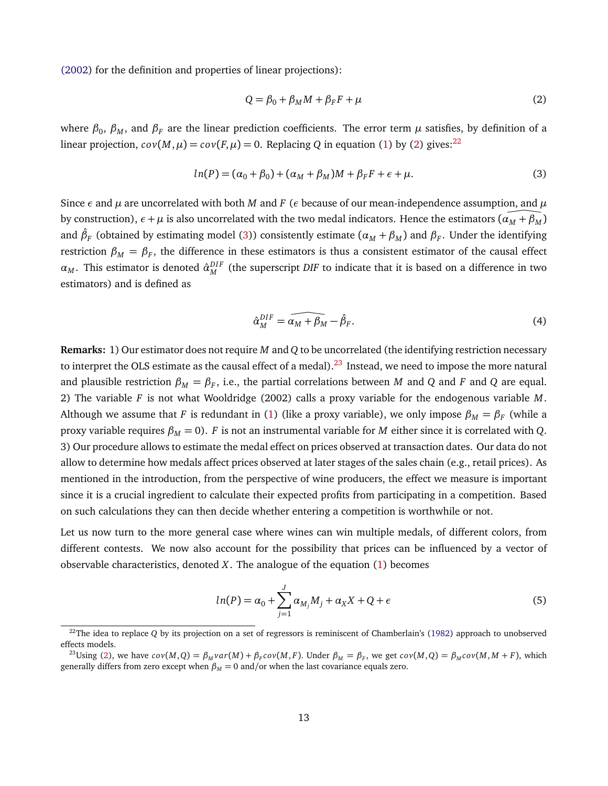(2002) for the definition and properties of linear projections):

$$
Q = \beta_0 + \beta_M M + \beta_F F + \mu \tag{2}
$$

where  $\beta_0$ ,  $\beta_M$ , and  $\beta_F$  are the linear prediction coefficients. The error term  $\mu$  satisfies, by definition of a linear projection,  $cov(M, \mu) = cov(F, \mu) = 0$ . Replacing *Q* in equation (1) by (2) gives:<sup>22</sup>

$$
ln(P) = (\alpha_0 + \beta_0) + (\alpha_M + \beta_M)M + \beta_F F + \epsilon + \mu.
$$
\n(3)

Since *ε* and *µ* are uncorrelated with both *M* and *F* (*ε* because of our mean-independence assumption, and *µ* by construction),  $\epsilon + \mu$  is also uncorrelated with the two medal indicators. Hence the estimators ( $\alpha_M + \beta_M$ ) and  $\hat{\beta}_F$  (obtained by estimating model (3)) consistently estimate ( $\alpha_M+\beta_M$ ) and  $\beta_F.$  Under the identifying restriction  $\beta_M = \beta_F$ , the difference in these estimators is thus a consistent estimator of the causal effect  $\alpha_M$ . This estimator is denoted  $\hat{\alpha}_M^{DIF}$  (the superscript *DIF* to indicate that it is based on a difference in two estimators) and is defined as

$$
\hat{\alpha}_M^{DIF} = \widehat{\alpha_M + \beta_M} - \hat{\beta}_F. \tag{4}
$$

**Remarks:** 1) Our estimator does not require *M* and *Q* to be uncorrelated (the identifying restriction necessary to interpret the OLS estimate as the causal effect of a medal).<sup>23</sup> Instead, we need to impose the more natural and plausible restriction  $\beta_M = \beta_F$ , i.e., the partial correlations between *M* and *Q* and *F* and *Q* are equal. 2) The variable *F* is not what Wooldridge (2002) calls a proxy variable for the endogenous variable *M*. Although we assume that *F* is redundant in (1) (like a proxy variable), we only impose  $\beta_M = \beta_F$  (while a proxy variable requires  $\beta_M = 0$ ). *F* is not an instrumental variable for *M* either since it is correlated with *Q*. 3) Our procedure allows to estimate the medal effect on prices observed at transaction dates. Our data do not allow to determine how medals affect prices observed at later stages of the sales chain (e.g., retail prices). As mentioned in the introduction, from the perspective of wine producers, the effect we measure is important since it is a crucial ingredient to calculate their expected profits from participating in a competition. Based on such calculations they can then decide whether entering a competition is worthwhile or not.

Let us now turn to the more general case where wines can win multiple medals, of different colors, from different contests. We now also account for the possibility that prices can be influenced by a vector of observable characteristics, denoted *X*. The analogue of the equation (1) becomes

$$
ln(P) = \alpha_0 + \sum_{j=1}^{J} \alpha_{M_j} M_j + \alpha_X X + Q + \epsilon
$$
\n(5)

<sup>&</sup>lt;sup>22</sup>The idea to replace *Q* by its projection on a set of regressors is reminiscent of Chamberlain's (1982) approach to unobserved effects models.

<sup>&</sup>lt;sup>23</sup>Using (2), we have  $cov(M,Q) = \beta_M var(M) + \beta_F cov(M,F)$ . Under  $\beta_M = \beta_F$ , we get  $cov(M,Q) = \beta_M cov(M,M+F)$ , which generally differs from zero except when  $\beta_M = 0$  and/or when the last covariance equals zero.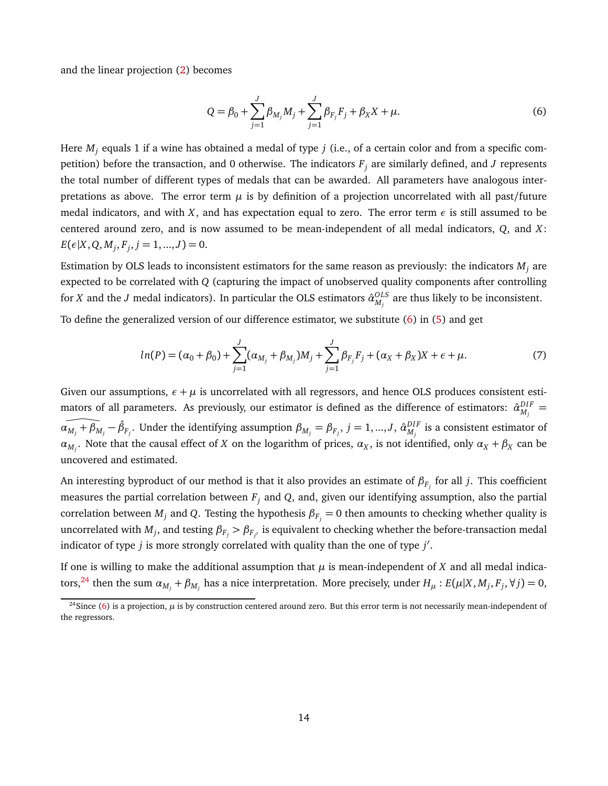and the linear projection (2) becomes

$$
Q = \beta_0 + \sum_{j=1}^{J} \beta_{M_j} M_j + \sum_{j=1}^{J} \beta_{F_j} F_j + \beta_X X + \mu.
$$
 (6)

Here *M<sup>j</sup>* equals 1 if a wine has obtained a medal of type *j* (i.e., of a certain color and from a specific competition) before the transaction, and 0 otherwise. The indicators *F<sup>j</sup>* are similarly defined, and *J* represents the total number of different types of medals that can be awarded. All parameters have analogous interpretations as above. The error term  $\mu$  is by definition of a projection uncorrelated with all past/future medal indicators, and with *X*, and has expectation equal to zero. The error term *ε* is still assumed to be centered around zero, and is now assumed to be mean-independent of all medal indicators, *Q*, and *X*:  $E(e|X, Q, M_j, F_j, j = 1, ..., J) = 0.$ 

Estimation by OLS leads to inconsistent estimators for the same reason as previously: the indicators *M<sup>j</sup>* are expected to be correlated with *Q* (capturing the impact of unobserved quality components after controlling for *X* and the *J* medal indicators). In particular the OLS estimators  $\hat{\alpha}_{M_j}^{OLS}$  are thus likely to be inconsistent.

To define the generalized version of our difference estimator, we substitute (6) in (5) and get

$$
ln(P) = (\alpha_0 + \beta_0) + \sum_{j=1}^{J} (\alpha_{M_j} + \beta_{M_j})M_j + \sum_{j=1}^{J} \beta_{F_j} F_j + (\alpha_X + \beta_X)X + \epsilon + \mu.
$$
 (7)

Given our assumptions,  $\epsilon + \mu$  is uncorrelated with all regressors, and hence OLS produces consistent estimators of all parameters. As previously, our estimator is defined as the difference of estimators:  $\hat{\alpha}^{DIF}_{M_j} =$  $\widetilde{a_{M_j}}+\widetilde{\beta_{M_j}}-\hat{\beta}_{F_j}.$  Under the identifying assumption  $\beta_{M_j}=\beta_{F_j},\ j=1,...,J,$   $\hat{\alpha}^{DIF}_{M_j}$  is a consistent estimator of *α*<sub>*M<sub>j</sub>*</sub>. Note that the causal effect of *X* on the logarithm of prices, *α*<sub>*X*</sub>, is not identified, only *α*<sub>*X*</sub> + *β*<sub>*X*</sub> can be uncovered and estimated.

An interesting byproduct of our method is that it also provides an estimate of *βF<sup>j</sup>* for all *j*. This coefficient measures the partial correlation between *F<sup>j</sup>* and *Q*, and, given our identifying assumption, also the partial correlation between  $M_j$  and *Q*. Testing the hypothesis  $\beta_{F_j} = 0$  then amounts to checking whether quality is uncorrelated with  $M_j$ , and testing  $\beta_{F_j} > \beta_{F_{j'}}$  is equivalent to checking whether the before-transaction medal indicator of type *j* is more strongly correlated with quality than the one of type *j* 0 .

If one is willing to make the additional assumption that  $\mu$  is mean-independent of  $X$  and all medal indicators,<sup>24</sup> then the sum  $\alpha_{M_j} + \beta_{M_j}$  has a nice interpretation. More precisely, under  $H_\mu : E(\mu|X, M_j, F_j, \forall j) = 0$ ,

<sup>&</sup>lt;sup>24</sup>Since (6) is a projection,  $\mu$  is by construction centered around zero. But this error term is not necessarily mean-independent of the regressors.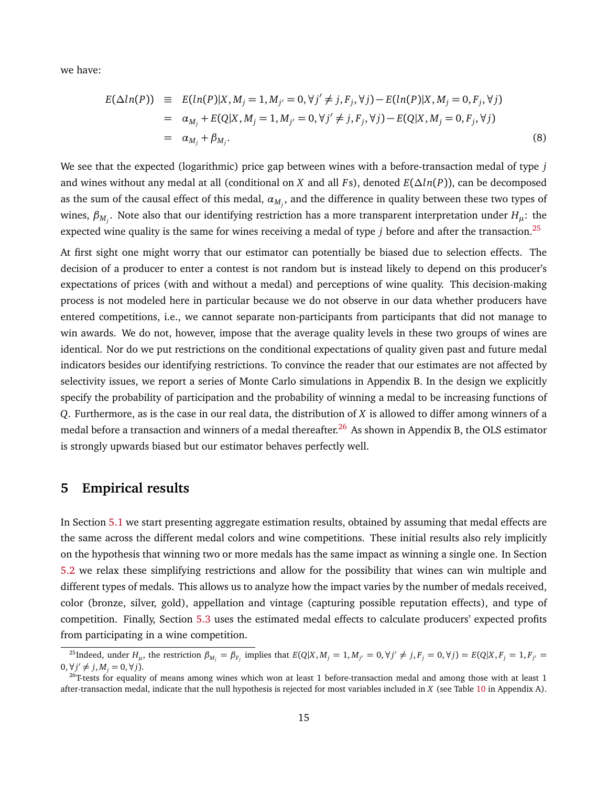we have:

$$
E(\Delta ln(P)) \equiv E(ln(P)|X, M_j = 1, M_{j'} = 0, \forall j' \neq j, F_j, \forall j) - E(ln(P)|X, M_j = 0, F_j, \forall j)
$$
  
=  $\alpha_{M_j} + E(Q|X, M_j = 1, M_{j'} = 0, \forall j' \neq j, F_j, \forall j) - E(Q|X, M_j = 0, F_j, \forall j)$   
=  $\alpha_{M_j} + \beta_{M_j}$ . (8)

We see that the expected (logarithmic) price gap between wines with a before-transaction medal of type *j* and wines without any medal at all (conditional on *X* and all *Fs*), denoted  $E(\Delta ln(P))$ , can be decomposed as the sum of the causal effect of this medal,  $a_{M_j}$ , and the difference in quality between these two types of wines, *βM<sup>j</sup>* . Note also that our identifying restriction has a more transparent interpretation under *Hµ*: the expected wine quality is the same for wines receiving a medal of type  $j$  before and after the transaction.<sup>25</sup>

At first sight one might worry that our estimator can potentially be biased due to selection effects. The decision of a producer to enter a contest is not random but is instead likely to depend on this producer's expectations of prices (with and without a medal) and perceptions of wine quality. This decision-making process is not modeled here in particular because we do not observe in our data whether producers have entered competitions, i.e., we cannot separate non-participants from participants that did not manage to win awards. We do not, however, impose that the average quality levels in these two groups of wines are identical. Nor do we put restrictions on the conditional expectations of quality given past and future medal indicators besides our identifying restrictions. To convince the reader that our estimates are not affected by selectivity issues, we report a series of Monte Carlo simulations in Appendix B. In the design we explicitly specify the probability of participation and the probability of winning a medal to be increasing functions of *Q*. Furthermore, as is the case in our real data, the distribution of *X* is allowed to differ among winners of a medal before a transaction and winners of a medal thereafter.<sup>26</sup> As shown in Appendix B, the OLS estimator is strongly upwards biased but our estimator behaves perfectly well.

### **5 Empirical results**

In Section 5.1 we start presenting aggregate estimation results, obtained by assuming that medal effects are the same across the different medal colors and wine competitions. These initial results also rely implicitly on the hypothesis that winning two or more medals has the same impact as winning a single one. In Section 5.2 we relax these simplifying restrictions and allow for the possibility that wines can win multiple and different types of medals. This allows us to analyze how the impact varies by the number of medals received, color (bronze, silver, gold), appellation and vintage (capturing possible reputation effects), and type of competition. Finally, Section 5.3 uses the estimated medal effects to calculate producers' expected profits from participating in a wine competition.

<sup>&</sup>lt;sup>25</sup>Indeed, under  $H_\mu$ , the restriction  $\beta_{M_j} = \beta_{F_j}$  implies that  $E(Q|X, M_j = 1, M_{j'} = 0, \forall j' \neq j, F_j = 0, \forall j) = E(Q|X, F_j = 1, F_{j'} = 1)$  $0, \forall j' \neq j, M_j = 0, \forall j$ ).

 $^{26}$ T-tests for equality of means among wines which won at least 1 before-transaction medal and among those with at least 1 after-transaction medal, indicate that the null hypothesis is rejected for most variables included in *X* (see Table 10 in Appendix A).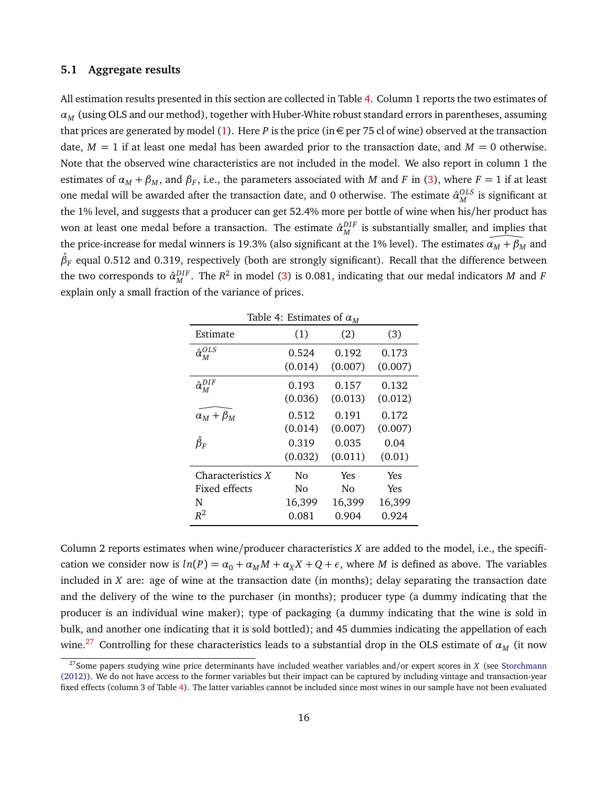#### **5.1 Aggregate results**

All estimation results presented in this section are collected in Table 4. Column 1 reports the two estimates of  $a_M$  (using OLS and our method), together with Huber-White robust standard errors in parentheses, assuming that prices are generated by model (1). Here *P* is the price (in  $\in$  per 75 cl of wine) observed at the transaction date,  $M = 1$  if at least one medal has been awarded prior to the transaction date, and  $M = 0$  otherwise. Note that the observed wine characteristics are not included in the model. We also report in column 1 the estimates of  $\alpha_M + \beta_M$ , and  $\beta_F$ , i.e., the parameters associated with *M* and *F* in (3), where *F* = 1 if at least one medal will be awarded after the transaction date, and 0 otherwise. The estimate  $\hat{\alpha}_M^{OLS}$  is significant at the 1% level, and suggests that a producer can get 52.4% more per bottle of wine when his/her product has won at least one medal before a transaction. The estimate  $\hat{\alpha}_M^{DIF}$  is substantially smaller, and implies that the price-increase for medal winners is 19.3% (also significant at the 1% level). The estimates  $\alpha_M + \beta_M$  and  $\hat{\beta}_F$  equal 0.512 and 0.319, respectively (both are strongly significant). Recall that the difference between the two corresponds to  $\hat{\alpha}_M^{DIF}$ . The  $R^2$  in model (3) is 0.081, indicating that our medal indicators *M* and *F* explain only a small fraction of the variance of prices.

|                        | Table 4: Estimates of $\alpha_M$ |         |         |
|------------------------|----------------------------------|---------|---------|
| Estimate               | (1)                              | (2)     | (3)     |
| $\hat{\alpha}_M^{OLS}$ | 0.524                            | 0.192   | 0.173   |
|                        | (0.014)                          | (0.007) | (0.007) |
| $\hat{\alpha}_M^{DIF}$ | 0.193                            | 0.157   | 0.132   |
|                        | (0.036)                          | (0.013) | (0.012) |
| $\alpha_M + \beta_M$   | 0.512                            | 0.191   | 0.172   |
|                        | (0.014)                          | (0.007) | (0.007) |
| $\hat{\beta}_F$        | 0.319                            | 0.035   | 0.04    |
|                        | (0.032)                          | (0.011) | (0.01)  |
| Characteristics X      | No                               | Yes     | Yes     |
| Fixed effects          | No                               | No      | Yes     |
| N                      | 16,399                           | 16,399  | 16,399  |
| $R^2$                  | 0.081                            | 0.904   | 0.924   |

Column 2 reports estimates when wine/producer characteristics *X* are added to the model, i.e., the specification we consider now is  $ln(P) = \alpha_0 + \alpha_M M + \alpha_X X + Q + \epsilon$ , where *M* is defined as above. The variables included in *X* are: age of wine at the transaction date (in months); delay separating the transaction date and the delivery of the wine to the purchaser (in months); producer type (a dummy indicating that the producer is an individual wine maker); type of packaging (a dummy indicating that the wine is sold in bulk, and another one indicating that it is sold bottled); and 45 dummies indicating the appellation of each wine.<sup>27</sup> Controlling for these characteristics leads to a substantial drop in the OLS estimate of *α<sup>M</sup>* (it now

<sup>27</sup>Some papers studying wine price determinants have included weather variables and/or expert scores in *X* (see Storchmann (2012)). We do not have access to the former variables but their impact can be captured by including vintage and transaction-year fixed effects (column 3 of Table 4). The latter variables cannot be included since most wines in our sample have not been evaluated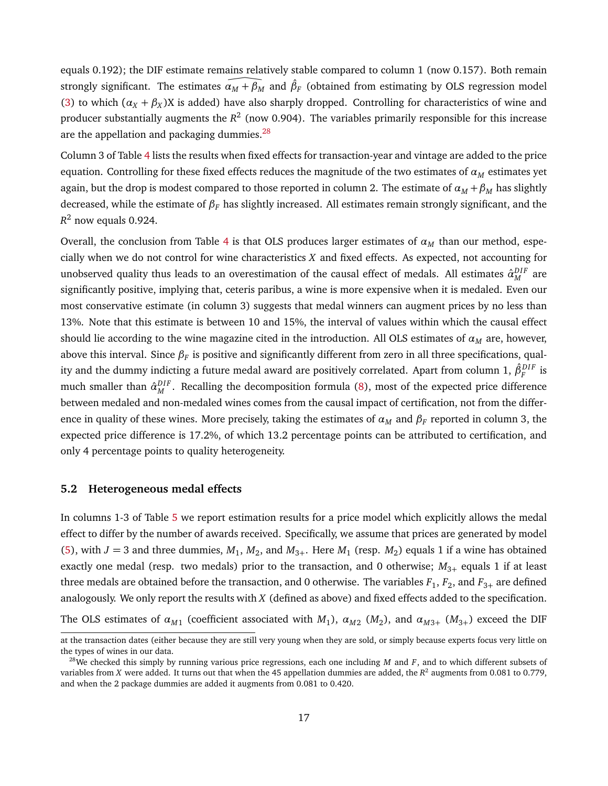equals 0.192); the DIF estimate remains relatively stable compared to column 1 (now 0.157). Both remain strongly significant. The estimates  $\widehat{a_M} + \widehat{\beta_M}$  and  $\widehat{\beta_F}$  (obtained from estimating by OLS regression model (3) to which  $(\alpha_X + \beta_X)X$  is added) have also sharply dropped. Controlling for characteristics of wine and producer substantially augments the  $R^2$  (now 0.904). The variables primarily responsible for this increase are the appellation and packaging dummies. $^{28}$ 

Column 3 of Table 4 lists the results when fixed effects for transaction-year and vintage are added to the price equation. Controlling for these fixed effects reduces the magnitude of the two estimates of  $\alpha_M$  estimates yet again, but the drop is modest compared to those reported in column 2. The estimate of  $\alpha_M + \beta_M$  has slightly decreased, while the estimate of *β<sup>F</sup>* has slightly increased. All estimates remain strongly significant, and the  $R<sup>2</sup>$  now equals 0.924.

Overall, the conclusion from Table 4 is that OLS produces larger estimates of  $\alpha_M$  than our method, especially when we do not control for wine characteristics *X* and fixed effects. As expected, not accounting for unobserved quality thus leads to an overestimation of the causal effect of medals. All estimates  $\hat{\alpha}_M^{DIF}$  are significantly positive, implying that, ceteris paribus, a wine is more expensive when it is medaled. Even our most conservative estimate (in column 3) suggests that medal winners can augment prices by no less than 13%. Note that this estimate is between 10 and 15%, the interval of values within which the causal effect should lie according to the wine magazine cited in the introduction. All OLS estimates of  $\alpha_M$  are, however, above this interval. Since *β<sup>F</sup>* is positive and significantly different from zero in all three specifications, quality and the dummy indicting a future medal award are positively correlated. Apart from column 1,  $\hat{\beta}_F^{DIF}$  is much smaller than  $\hat{\alpha}_M^{DIF}$ . Recalling the decomposition formula (8), most of the expected price difference between medaled and non-medaled wines comes from the causal impact of certification, not from the difference in quality of these wines. More precisely, taking the estimates of  $\alpha_M$  and  $\beta_F$  reported in column 3, the expected price difference is 17.2%, of which 13.2 percentage points can be attributed to certification, and only 4 percentage points to quality heterogeneity.

#### **5.2 Heterogeneous medal effects**

In columns 1-3 of Table 5 we report estimation results for a price model which explicitly allows the medal effect to differ by the number of awards received. Specifically, we assume that prices are generated by model (5), with  $J = 3$  and three dummies,  $M_1$ ,  $M_2$ , and  $M_{3+}$ . Here  $M_1$  (resp.  $M_2$ ) equals 1 if a wine has obtained exactly one medal (resp. two medals) prior to the transaction, and 0 otherwise;  $M_{3+}$  equals 1 if at least three medals are obtained before the transaction, and 0 otherwise. The variables  $F_1$ ,  $F_2$ , and  $F_{3+}$  are defined analogously. We only report the results with *X* (defined as above) and fixed effects added to the specification.

The OLS estimates of  $\alpha_{M1}$  (coefficient associated with  $M_1$ ),  $\alpha_{M2}$  ( $M_2$ ), and  $\alpha_{M3+}$  ( $M_{3+}$ ) exceed the DIF

at the transaction dates (either because they are still very young when they are sold, or simply because experts focus very little on the types of wines in our data.

<sup>&</sup>lt;sup>28</sup>We checked this simply by running various price regressions, each one including *M* and *F*, and to which different subsets of variables from *X* were added. It turns out that when the 45 appellation dummies are added, the  $R^2$  augments from 0.081 to 0.779, and when the 2 package dummies are added it augments from 0.081 to 0.420.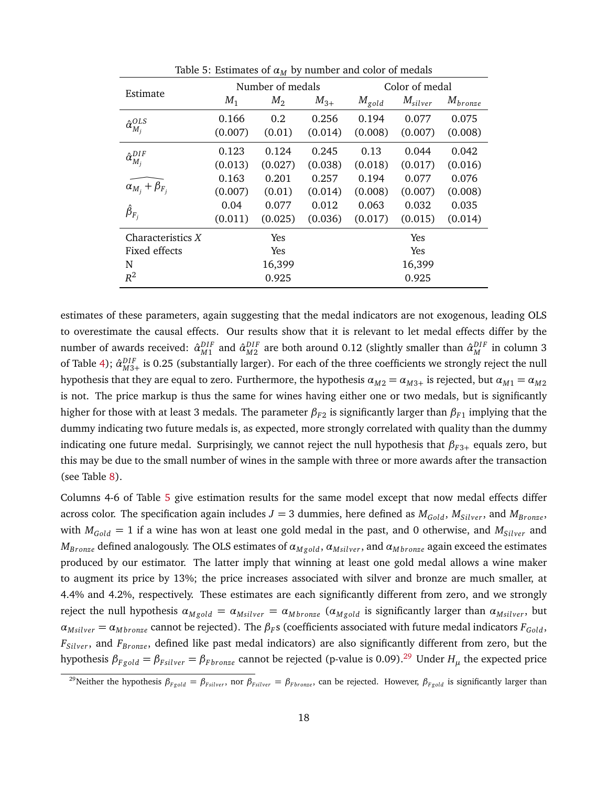| Estimate                     |         | Number of medals |          |            | Color of medal |             |
|------------------------------|---------|------------------|----------|------------|----------------|-------------|
|                              | $M_1$   | $M_2$            | $M_{3+}$ | $M_{gold}$ | $M_{silver}$   | $M_{brane}$ |
|                              | 0.166   | 0.2              | 0.256    | 0.194      | 0.077          | 0.075       |
| $\hat{\alpha}_{M_j}^{OLS}$   | (0.007) | (0.01)           | (0.014)  | (0.008)    | (0.007)        | (0.008)     |
| $\hat{\alpha}_{M_j}^{DIF}$   | 0.123   | 0.124            | 0.245    | 0.13       | 0.044          | 0.042       |
|                              | (0.013) | (0.027)          | (0.038)  | (0.018)    | (0.017)        | (0.016)     |
|                              | 0.163   | 0.201            | 0.257    | 0.194      | 0.077          | 0.076       |
| $\alpha_{M_i} + \beta_{F_i}$ | (0.007) | (0.01)           | (0.014)  | (0.008)    | (0.007)        | (0.008)     |
| $\hat{\beta}_{F_j}$          | 0.04    | 0.077            | 0.012    | 0.063      | 0.032          | 0.035       |
|                              | (0.011) | (0.025)          | (0.036)  | (0.017)    | (0.015)        | (0.014)     |
| Characteristics X            |         | Yes              |          |            | Yes            |             |
| Fixed effects                |         | Yes              |          |            | Yes            |             |
| N                            |         | 16,399           |          |            | 16,399         |             |
| $R^2$                        |         | 0.925            |          |            | 0.925          |             |

Table 5: Estimates of  $\alpha_M$  by number and color of medals

estimates of these parameters, again suggesting that the medal indicators are not exogenous, leading OLS to overestimate the causal effects. Our results show that it is relevant to let medal effects differ by the number of awards received:  $\hat{\alpha}_{M1}^{DIF}$  and  $\hat{\alpha}_{M2}^{DIF}$  are both around 0.12 (slightly smaller than  $\hat{\alpha}_{M}^{DIF}$  in column 3 of Table 4);  $\hat{\alpha}_{M3+}^{DIF}$  is 0.25 (substantially larger). For each of the three coefficients we strongly reject the null hypothesis that they are equal to zero. Furthermore, the hypothesis  $\alpha_{M2} = \alpha_{M3+}$  is rejected, but  $\alpha_{M1} = \alpha_{M2}$ is not. The price markup is thus the same for wines having either one or two medals, but is significantly higher for those with at least 3 medals. The parameter *βF*<sup>2</sup> is significantly larger than *βF*<sup>1</sup> implying that the dummy indicating two future medals is, as expected, more strongly correlated with quality than the dummy indicating one future medal. Surprisingly, we cannot reject the null hypothesis that  $\beta_{F3+}$  equals zero, but this may be due to the small number of wines in the sample with three or more awards after the transaction (see Table 8).

Columns 4-6 of Table 5 give estimation results for the same model except that now medal effects differ across color. The specification again includes  $J = 3$  dummies, here defined as  $M_{Gold}$ ,  $M_{Silver}$ , and  $M_{Bronze}$ , with  $M_{Gold} = 1$  if a wine has won at least one gold medal in the past, and 0 otherwise, and  $M_{Silver}$  and  $M_{Bronze}$  defined analogously. The OLS estimates of  $a_{Mgold}$ ,  $a_{Msilver}$ , and  $a_{Mbronze}$  again exceed the estimates produced by our estimator. The latter imply that winning at least one gold medal allows a wine maker to augment its price by 13%; the price increases associated with silver and bronze are much smaller, at 4.4% and 4.2%, respectively. These estimates are each significantly different from zero, and we strongly reject the null hypothesis  $a_{Mgold} = a_{Msilver} = a_{Mbronze}$  ( $a_{Mgold}$  is significantly larger than  $a_{Msilver}$ , but  $a_{Msilver} = a_{Mbrane}$  cannot be rejected). The  $\beta_F$ s (coefficients associated with future medal indicators  $F_{Gold}$ , *FSilver*, and *FBronze*, defined like past medal indicators) are also significantly different from zero, but the hypothesis  $\beta_{Fgold} = \beta_{Fsilver} = \beta_{Fbronze}$  cannot be rejected (p-value is 0.09).<sup>29</sup> Under  $H_\mu$  the expected price

<sup>&</sup>lt;sup>29</sup>Neither the hypothesis  $\beta_{Fgold} = \beta_{Fsilver}$ , nor  $\beta_{Fsilver} = \beta_{Fbronze}$ , can be rejected. However,  $\beta_{Fgold}$  is significantly larger than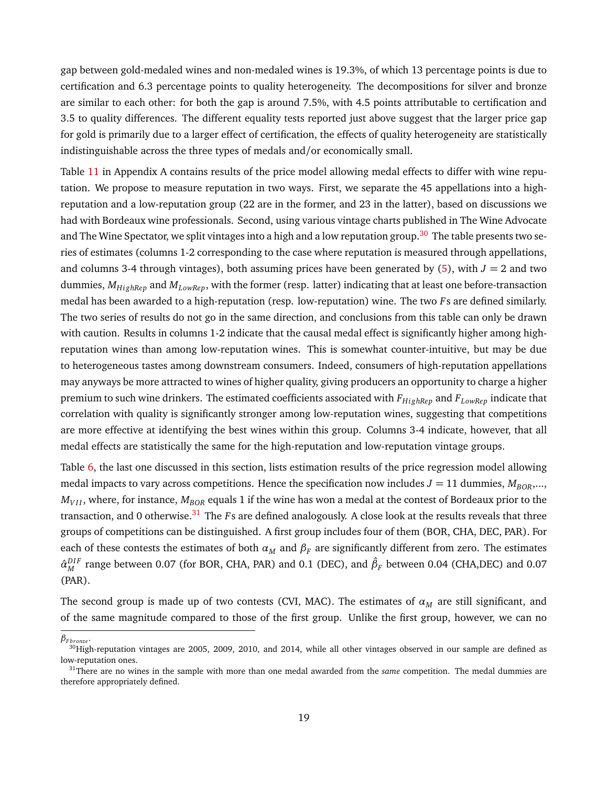gap between gold-medaled wines and non-medaled wines is 19.3%, of which 13 percentage points is due to certification and 6.3 percentage points to quality heterogeneity. The decompositions for silver and bronze are similar to each other: for both the gap is around 7.5%, with 4.5 points attributable to certification and 3.5 to quality differences. The different equality tests reported just above suggest that the larger price gap for gold is primarily due to a larger effect of certification, the effects of quality heterogeneity are statistically indistinguishable across the three types of medals and/or economically small.

Table 11 in Appendix A contains results of the price model allowing medal effects to differ with wine reputation. We propose to measure reputation in two ways. First, we separate the 45 appellations into a highreputation and a low-reputation group (22 are in the former, and 23 in the latter), based on discussions we had with Bordeaux wine professionals. Second, using various vintage charts published in The Wine Advocate and The Wine Spectator, we split vintages into a high and a low reputation group.<sup>30</sup> The table presents two series of estimates (columns 1-2 corresponding to the case where reputation is measured through appellations, and columns 3-4 through vintages), both assuming prices have been generated by (5), with  $J = 2$  and two dummies, *MHighRep* and *MLowRep*, with the former (resp. latter) indicating that at least one before-transaction medal has been awarded to a high-reputation (resp. low-reputation) wine. The two *F*s are defined similarly. The two series of results do not go in the same direction, and conclusions from this table can only be drawn with caution. Results in columns 1-2 indicate that the causal medal effect is significantly higher among highreputation wines than among low-reputation wines. This is somewhat counter-intuitive, but may be due to heterogeneous tastes among downstream consumers. Indeed, consumers of high-reputation appellations may anyways be more attracted to wines of higher quality, giving producers an opportunity to charge a higher premium to such wine drinkers. The estimated coefficients associated with *FHighRep* and *FLowRep* indicate that correlation with quality is significantly stronger among low-reputation wines, suggesting that competitions are more effective at identifying the best wines within this group. Columns 3-4 indicate, however, that all medal effects are statistically the same for the high-reputation and low-reputation vintage groups.

Table 6, the last one discussed in this section, lists estimation results of the price regression model allowing medal impacts to vary across competitions. Hence the specification now includes  $J = 11$  dummies,  $M_{BOR}$ ,..., *M*<sub>*VII*</sub>, where, for instance, *M*<sub>*BOR*</sub> equals 1 if the wine has won a medal at the contest of Bordeaux prior to the transaction, and 0 otherwise.<sup>31</sup> The *F*s are defined analogously. A close look at the results reveals that three groups of competitions can be distinguished. A first group includes four of them (BOR, CHA, DEC, PAR). For each of these contests the estimates of both  $\alpha_M$  and  $\beta_F$  are significantly different from zero. The estimates  $\hat{\alpha}_M^{DIF}$  range between 0.07 (for BOR, CHA, PAR) and 0.1 (DEC), and  $\hat{\beta}_F$  between 0.04 (CHA,DEC) and 0.07 (PAR).

The second group is made up of two contests (CVI, MAC). The estimates of  $\alpha_M$  are still significant, and of the same magnitude compared to those of the first group. Unlike the first group, however, we can no

*βF bronze* .

 $30$ High-reputation vintages are 2005, 2009, 2010, and 2014, while all other vintages observed in our sample are defined as low-reputation ones.

<sup>31</sup>There are no wines in the sample with more than one medal awarded from the *same* competition. The medal dummies are therefore appropriately defined.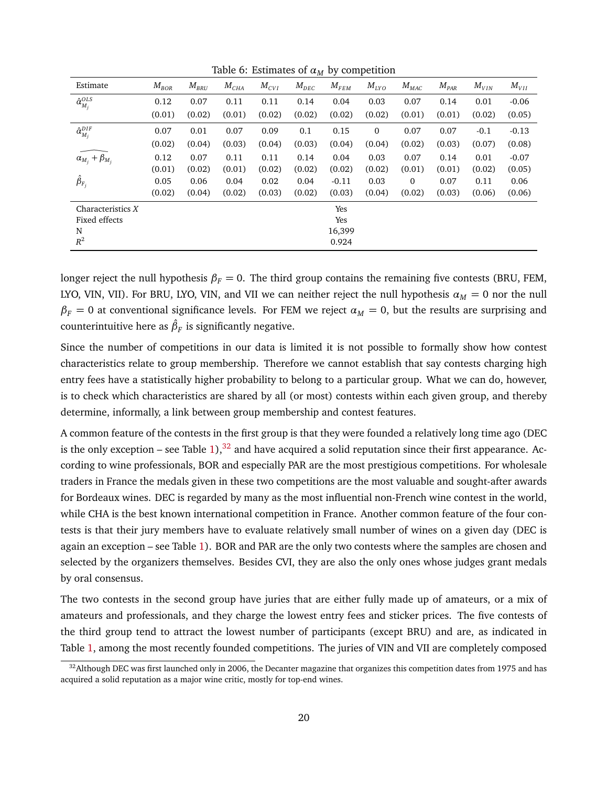| Estimate                                                         | $M_{BOR}$ | $M_{BRU}$ | $M_{CHA}$ | $M_{CVI}$ | $M_{DEC}$ | $M_{FEM}$ | $M_{LYO}$    | $M_{MAC}$    | $M_{PAR}$ | $M_{VIN}$ | $M_{VII}$ |
|------------------------------------------------------------------|-----------|-----------|-----------|-----------|-----------|-----------|--------------|--------------|-----------|-----------|-----------|
| $\hat{\alpha}^{\scriptscriptstyle OLS}_{\scriptscriptstyle M_j}$ | 0.12      | 0.07      | 0.11      | 0.11      | 0.14      | 0.04      | 0.03         | 0.07         | 0.14      | 0.01      | $-0.06$   |
|                                                                  | (0.01)    | (0.02)    | (0.01)    | (0.02)    | (0.02)    | (0.02)    | (0.02)       | (0.01)       | (0.01)    | (0.02)    | (0.05)    |
| $\hat{\alpha}^{DIF}_{M_j}$                                       | 0.07      | 0.01      | 0.07      | 0.09      | 0.1       | 0.15      | $\mathbf{0}$ | 0.07         | 0.07      | $-0.1$    | $-0.13$   |
|                                                                  | (0.02)    | (0.04)    | (0.03)    | (0.04)    | (0.03)    | (0.04)    | (0.04)       | (0.02)       | (0.03)    | (0.07)    | (0.08)    |
| $\alpha_{M_i} + \beta_{M_i}$                                     | 0.12      | 0.07      | 0.11      | 0.11      | 0.14      | 0.04      | 0.03         | 0.07         | 0.14      | 0.01      | $-0.07$   |
|                                                                  | (0.01)    | (0.02)    | (0.01)    | (0.02)    | (0.02)    | (0.02)    | (0.02)       | (0.01)       | (0.01)    | (0.02)    | (0.05)    |
| $\hat{\beta}_{\scriptscriptstyle F_i}$                           | 0.05      | 0.06      | 0.04      | 0.02      | 0.04      | $-0.11$   | 0.03         | $\mathbf{0}$ | 0.07      | 0.11      | 0.06      |
|                                                                  | (0.02)    | (0.04)    | (0.02)    | (0.03)    | (0.02)    | (0.03)    | (0.04)       | (0.02)       | (0.03)    | (0.06)    | (0.06)    |
| Characteristics X                                                |           |           |           |           |           | Yes       |              |              |           |           |           |
| Fixed effects                                                    |           |           |           |           |           | Yes       |              |              |           |           |           |
| N                                                                |           |           |           |           |           | 16,399    |              |              |           |           |           |
| $R^2$                                                            |           |           |           |           |           | 0.924     |              |              |           |           |           |

Table 6: Estimates of  $\alpha_M$  by competition

longer reject the null hypothesis  $\beta_F = 0$ . The third group contains the remaining five contests (BRU, FEM, LYO, VIN, VII). For BRU, LYO, VIN, and VII we can neither reject the null hypothesis  $\alpha_M = 0$  nor the null  $\beta_F = 0$  at conventional significance levels. For FEM we reject  $\alpha_M = 0$ , but the results are surprising and counterintuitive here as  $\hat{\beta}_F$  is significantly negative.

Since the number of competitions in our data is limited it is not possible to formally show how contest characteristics relate to group membership. Therefore we cannot establish that say contests charging high entry fees have a statistically higher probability to belong to a particular group. What we can do, however, is to check which characteristics are shared by all (or most) contests within each given group, and thereby determine, informally, a link between group membership and contest features.

A common feature of the contests in the first group is that they were founded a relatively long time ago (DEC is the only exception – see Table 1),  $32$  and have acquired a solid reputation since their first appearance. According to wine professionals, BOR and especially PAR are the most prestigious competitions. For wholesale traders in France the medals given in these two competitions are the most valuable and sought-after awards for Bordeaux wines. DEC is regarded by many as the most influential non-French wine contest in the world, while CHA is the best known international competition in France. Another common feature of the four contests is that their jury members have to evaluate relatively small number of wines on a given day (DEC is again an exception – see Table 1). BOR and PAR are the only two contests where the samples are chosen and selected by the organizers themselves. Besides CVI, they are also the only ones whose judges grant medals by oral consensus.

The two contests in the second group have juries that are either fully made up of amateurs, or a mix of amateurs and professionals, and they charge the lowest entry fees and sticker prices. The five contests of the third group tend to attract the lowest number of participants (except BRU) and are, as indicated in Table 1, among the most recently founded competitions. The juries of VIN and VII are completely composed

<sup>&</sup>lt;sup>32</sup>Although DEC was first launched only in 2006, the Decanter magazine that organizes this competition dates from 1975 and has acquired a solid reputation as a major wine critic, mostly for top-end wines.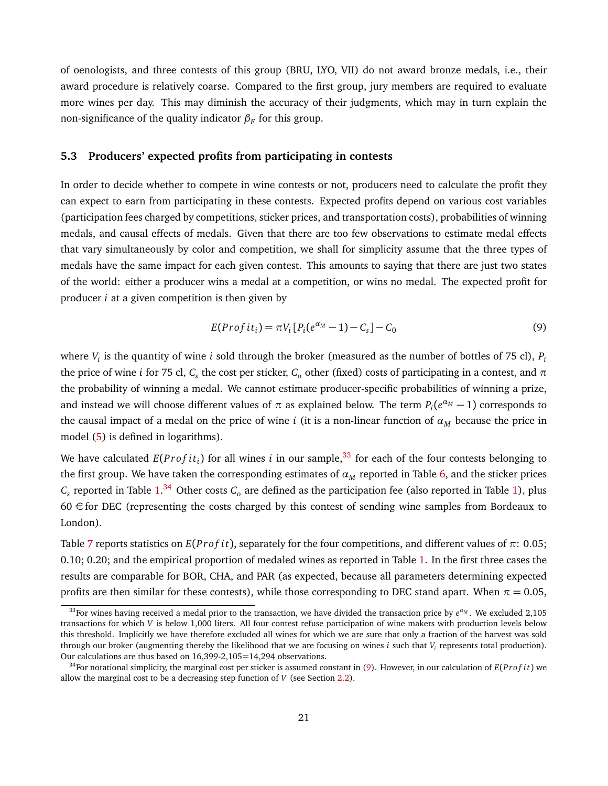of oenologists, and three contests of this group (BRU, LYO, VII) do not award bronze medals, i.e., their award procedure is relatively coarse. Compared to the first group, jury members are required to evaluate more wines per day. This may diminish the accuracy of their judgments, which may in turn explain the non-significance of the quality indicator *β<sup>F</sup>* for this group.

#### **5.3 Producers' expected profits from participating in contests**

In order to decide whether to compete in wine contests or not, producers need to calculate the profit they can expect to earn from participating in these contests. Expected profits depend on various cost variables (participation fees charged by competitions, sticker prices, and transportation costs), probabilities of winning medals, and causal effects of medals. Given that there are too few observations to estimate medal effects that vary simultaneously by color and competition, we shall for simplicity assume that the three types of medals have the same impact for each given contest. This amounts to saying that there are just two states of the world: either a producer wins a medal at a competition, or wins no medal. The expected profit for producer *i* at a given competition is then given by

$$
E(Profiti) = \pi Vi [Pi(e\alphaM - 1) - Cs] - C0
$$
\n(9)

where *V<sup>i</sup>* is the quantity of wine *i* sold through the broker (measured as the number of bottles of 75 cl), *P<sup>i</sup>* the price of wine *i* for 75 cl,  $C_s$  the cost per sticker,  $C_o$  other (fixed) costs of participating in a contest, and  $\pi$ the probability of winning a medal. We cannot estimate producer-specific probabilities of winning a prize, and instead we will choose different values of  $\pi$  as explained below. The term  $P_i(e^{\alpha_M}-1)$  corresponds to the causal impact of a medal on the price of wine *i* (it is a non-linear function of  $\alpha_M$  because the price in model (5) is defined in logarithms).

We have calculated  $E(Profit_i)$  for all wines *i* in our sample,<sup>33</sup> for each of the four contests belonging to the first group. We have taken the corresponding estimates of  $\alpha_M$  reported in Table 6, and the sticker prices  $C_s$  reported in Table 1.<sup>34</sup> Other costs  $C_o$  are defined as the participation fee (also reported in Table 1), plus 60  $\in$  for DEC (representing the costs charged by this contest of sending wine samples from Bordeaux to London).

Table 7 reports statistics on  $E(Profit)$ , separately for the four competitions, and different values of  $\pi$ : 0.05; 0.10; 0.20; and the empirical proportion of medaled wines as reported in Table 1. In the first three cases the results are comparable for BOR, CHA, and PAR (as expected, because all parameters determining expected profits are then similar for these contests), while those corresponding to DEC stand apart. When  $\pi = 0.05$ ,

<sup>33</sup>For wines having received a medal prior to the transaction, we have divided the transaction price by *e <sup>α</sup><sup>M</sup>* . We excluded 2,105 transactions for which *V* is below 1,000 liters. All four contest refuse participation of wine makers with production levels below this threshold. Implicitly we have therefore excluded all wines for which we are sure that only a fraction of the harvest was sold through our broker (augmenting thereby the likelihood that we are focusing on wines *i* such that *V<sup>i</sup>* represents total production). Our calculations are thus based on 16,399-2,105=14,294 observations.

 $34$ For notational simplicity, the marginal cost per sticker is assumed constant in (9). However, in our calculation of  $E(Profit)$  we allow the marginal cost to be a decreasing step function of *V* (see Section 2.2).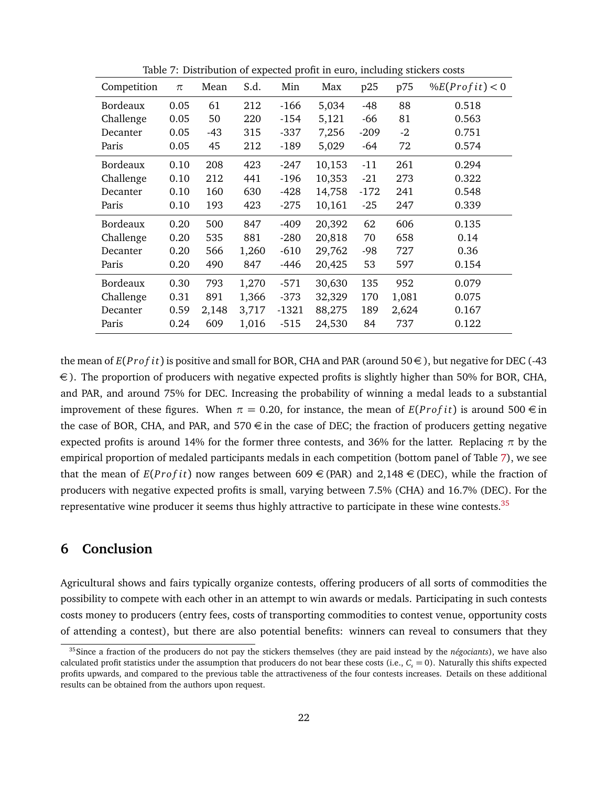| Competition | $\pi$ | Mean  | S.d.  | Min     | Max    | p25    | p75   | % $E(Profit) < 0$ |
|-------------|-------|-------|-------|---------|--------|--------|-------|-------------------|
| Bordeaux    | 0.05  | 61    | 212   | $-166$  | 5,034  | $-48$  | 88    | 0.518             |
| Challenge   | 0.05  | 50    | 220   | $-154$  | 5,121  | -66    | 81    | 0.563             |
| Decanter    | 0.05  | $-43$ | 315   | $-337$  | 7,256  | $-209$ | $-2$  | 0.751             |
| Paris       | 0.05  | 45    | 212   | $-189$  | 5,029  | $-64$  | 72    | 0.574             |
| Bordeaux    | 0.10  | 208   | 423   | $-247$  | 10,153 | $-11$  | 261   | 0.294             |
| Challenge   | 0.10  | 212   | 441   | $-196$  | 10,353 | $-21$  | 273   | 0.322             |
| Decanter    | 0.10  | 160   | 630   | $-428$  | 14,758 | $-172$ | 241   | 0.548             |
| Paris       | 0.10  | 193   | 423   | $-275$  | 10,161 | $-25$  | 247   | 0.339             |
| Bordeaux    | 0.20  | 500   | 847   | $-409$  | 20,392 | 62     | 606   | 0.135             |
| Challenge   | 0.20  | 535   | 881   | $-280$  | 20,818 | 70     | 658   | 0.14              |
| Decanter    | 0.20  | 566   | 1,260 | $-610$  | 29,762 | $-98$  | 727   | 0.36              |
| Paris       | 0.20  | 490   | 847   | $-446$  | 20,425 | 53     | 597   | 0.154             |
| Bordeaux    | 0.30  | 793   | 1,270 | -571    | 30,630 | 135    | 952   | 0.079             |
| Challenge   | 0.31  | 891   | 1,366 | $-373$  | 32,329 | 170    | 1,081 | 0.075             |
| Decanter    | 0.59  | 2,148 | 3,717 | $-1321$ | 88,275 | 189    | 2,624 | 0.167             |
| Paris       | 0.24  | 609   | 1,016 | $-515$  | 24,530 | 84     | 737   | 0.122             |

Table 7: Distribution of expected profit in euro, including stickers costs

the mean of  $E(Profit)$  is positive and small for BOR, CHA and PAR (around 50 $\in$ ), but negative for DEC (-43)  $\epsilon$ ). The proportion of producers with negative expected profits is slightly higher than 50% for BOR, CHA, and PAR, and around 75% for DEC. Increasing the probability of winning a medal leads to a substantial improvement of these figures. When  $\pi = 0.20$ , for instance, the mean of  $E(Profit)$  is around 500  $\in$  in the case of BOR, CHA, and PAR, and 570  $\in$  in the case of DEC; the fraction of producers getting negative expected profits is around 14% for the former three contests, and 36% for the latter. Replacing  $\pi$  by the empirical proportion of medaled participants medals in each competition (bottom panel of Table 7), we see that the mean of  $E(Profit)$  now ranges between 609  $\in$  (PAR) and 2,148  $\in$  (DEC), while the fraction of producers with negative expected profits is small, varying between 7.5% (CHA) and 16.7% (DEC). For the representative wine producer it seems thus highly attractive to participate in these wine contests.<sup>35</sup>

## **6 Conclusion**

Agricultural shows and fairs typically organize contests, offering producers of all sorts of commodities the possibility to compete with each other in an attempt to win awards or medals. Participating in such contests costs money to producers (entry fees, costs of transporting commodities to contest venue, opportunity costs of attending a contest), but there are also potential benefits: winners can reveal to consumers that they

<sup>35</sup>Since a fraction of the producers do not pay the stickers themselves (they are paid instead by the *négociants*), we have also calculated profit statistics under the assumption that producers do not bear these costs (i.e.,  $C<sub>c</sub> = 0$ ). Naturally this shifts expected profits upwards, and compared to the previous table the attractiveness of the four contests increases. Details on these additional results can be obtained from the authors upon request.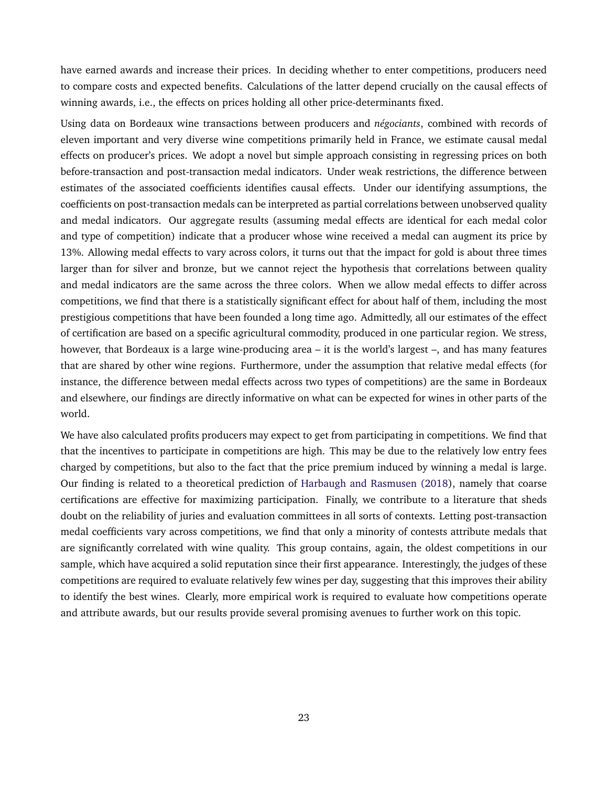have earned awards and increase their prices. In deciding whether to enter competitions, producers need to compare costs and expected benefits. Calculations of the latter depend crucially on the causal effects of winning awards, i.e., the effects on prices holding all other price-determinants fixed.

Using data on Bordeaux wine transactions between producers and *négociants*, combined with records of eleven important and very diverse wine competitions primarily held in France, we estimate causal medal effects on producer's prices. We adopt a novel but simple approach consisting in regressing prices on both before-transaction and post-transaction medal indicators. Under weak restrictions, the difference between estimates of the associated coefficients identifies causal effects. Under our identifying assumptions, the coefficients on post-transaction medals can be interpreted as partial correlations between unobserved quality and medal indicators. Our aggregate results (assuming medal effects are identical for each medal color and type of competition) indicate that a producer whose wine received a medal can augment its price by 13%. Allowing medal effects to vary across colors, it turns out that the impact for gold is about three times larger than for silver and bronze, but we cannot reject the hypothesis that correlations between quality and medal indicators are the same across the three colors. When we allow medal effects to differ across competitions, we find that there is a statistically significant effect for about half of them, including the most prestigious competitions that have been founded a long time ago. Admittedly, all our estimates of the effect of certification are based on a specific agricultural commodity, produced in one particular region. We stress, however, that Bordeaux is a large wine-producing area – it is the world's largest –, and has many features that are shared by other wine regions. Furthermore, under the assumption that relative medal effects (for instance, the difference between medal effects across two types of competitions) are the same in Bordeaux and elsewhere, our findings are directly informative on what can be expected for wines in other parts of the world.

We have also calculated profits producers may expect to get from participating in competitions. We find that that the incentives to participate in competitions are high. This may be due to the relatively low entry fees charged by competitions, but also to the fact that the price premium induced by winning a medal is large. Our finding is related to a theoretical prediction of Harbaugh and Rasmusen (2018), namely that coarse certifications are effective for maximizing participation. Finally, we contribute to a literature that sheds doubt on the reliability of juries and evaluation committees in all sorts of contexts. Letting post-transaction medal coefficients vary across competitions, we find that only a minority of contests attribute medals that are significantly correlated with wine quality. This group contains, again, the oldest competitions in our sample, which have acquired a solid reputation since their first appearance. Interestingly, the judges of these competitions are required to evaluate relatively few wines per day, suggesting that this improves their ability to identify the best wines. Clearly, more empirical work is required to evaluate how competitions operate and attribute awards, but our results provide several promising avenues to further work on this topic.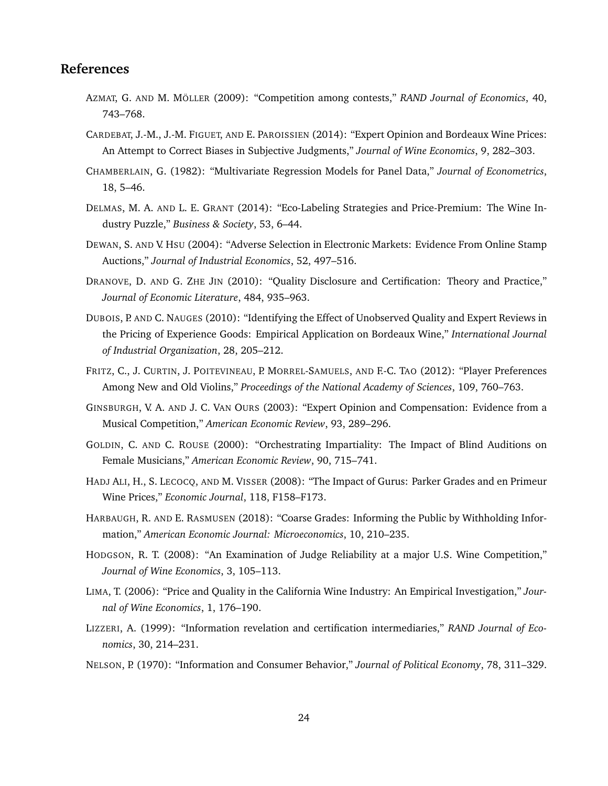## **References**

- AZMAT, G. AND M. MÖLLER (2009): "Competition among contests," *RAND Journal of Economics*, 40, 743–768.
- CARDEBAT, J.-M., J.-M. FIGUET, AND E. PAROISSIEN (2014): "Expert Opinion and Bordeaux Wine Prices: An Attempt to Correct Biases in Subjective Judgments," *Journal of Wine Economics*, 9, 282–303.
- CHAMBERLAIN, G. (1982): "Multivariate Regression Models for Panel Data," *Journal of Econometrics*, 18, 5–46.
- DELMAS, M. A. AND L. E. GRANT (2014): "Eco-Labeling Strategies and Price-Premium: The Wine Industry Puzzle," *Business & Society*, 53, 6–44.
- DEWAN, S. AND V. HSU (2004): "Adverse Selection in Electronic Markets: Evidence From Online Stamp Auctions," *Journal of Industrial Economics*, 52, 497–516.
- DRANOVE, D. AND G. ZHE JIN (2010): "Quality Disclosure and Certification: Theory and Practice," *Journal of Economic Literature*, 484, 935–963.
- DUBOIS, P. AND C. NAUGES (2010): "Identifying the Effect of Unobserved Quality and Expert Reviews in the Pricing of Experience Goods: Empirical Application on Bordeaux Wine," *International Journal of Industrial Organization*, 28, 205–212.
- FRITZ, C., J. CURTIN, J. POITEVINEAU, P. MORREL-SAMUELS, AND F.-C. TAO (2012): "Player Preferences Among New and Old Violins," *Proceedings of the National Academy of Sciences*, 109, 760–763.
- GINSBURGH, V. A. AND J. C. VAN OURS (2003): "Expert Opinion and Compensation: Evidence from a Musical Competition," *American Economic Review*, 93, 289–296.
- GOLDIN, C. AND C. ROUSE (2000): "Orchestrating Impartiality: The Impact of Blind Auditions on Female Musicians," *American Economic Review*, 90, 715–741.
- HADJ ALI, H., S. LECOCQ, AND M. VISSER (2008): "The Impact of Gurus: Parker Grades and en Primeur Wine Prices," *Economic Journal*, 118, F158–F173.
- HARBAUGH, R. AND E. RASMUSEN (2018): "Coarse Grades: Informing the Public by Withholding Information," *American Economic Journal: Microeconomics*, 10, 210–235.
- HODGSON, R. T. (2008): "An Examination of Judge Reliability at a major U.S. Wine Competition," *Journal of Wine Economics*, 3, 105–113.
- LIMA, T. (2006): "Price and Quality in the California Wine Industry: An Empirical Investigation," *Journal of Wine Economics*, 1, 176–190.
- LIZZERI, A. (1999): "Information revelation and certification intermediaries," *RAND Journal of Economics*, 30, 214–231.
- NELSON, P. (1970): "Information and Consumer Behavior," *Journal of Political Economy*, 78, 311–329.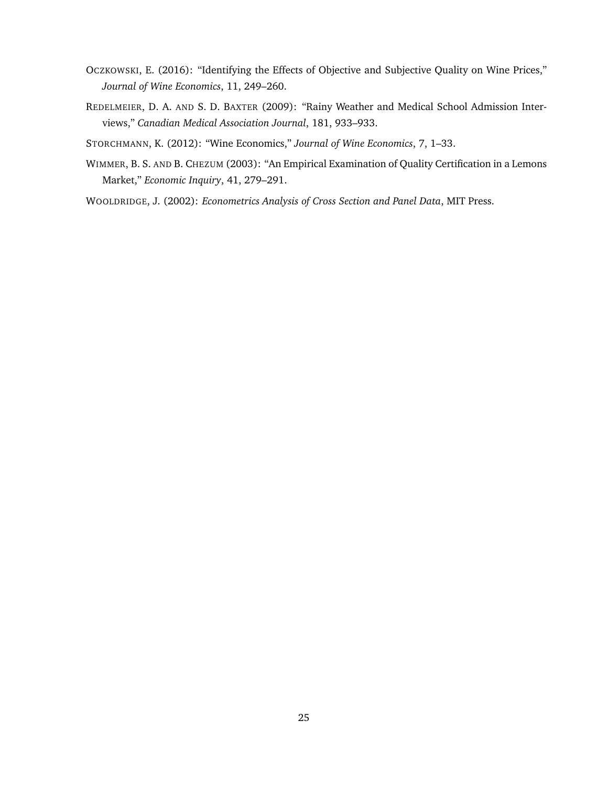- OCZKOWSKI, E. (2016): "Identifying the Effects of Objective and Subjective Quality on Wine Prices," *Journal of Wine Economics*, 11, 249–260.
- REDELMEIER, D. A. AND S. D. BAXTER (2009): "Rainy Weather and Medical School Admission Interviews," *Canadian Medical Association Journal*, 181, 933–933.
- STORCHMANN, K. (2012): "Wine Economics," *Journal of Wine Economics*, 7, 1–33.
- WIMMER, B. S. AND B. CHEZUM (2003): "An Empirical Examination of Quality Certification in a Lemons Market," *Economic Inquiry*, 41, 279–291.
- WOOLDRIDGE, J. (2002): *Econometrics Analysis of Cross Section and Panel Data*, MIT Press.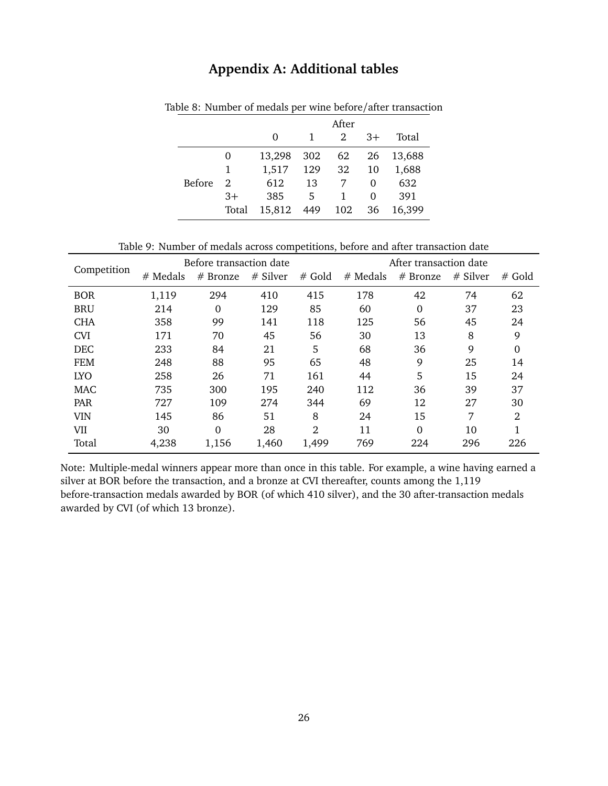## **Appendix A: Additional tables**

|               |                |        |              | After        |      |        |
|---------------|----------------|--------|--------------|--------------|------|--------|
|               |                | 0      | $\mathbf{1}$ | 2            | $3+$ | Total  |
|               | $\Omega$       | 13,298 | 302          | 62           | 26   | 13,688 |
|               | 1              | 1,517  | 129          | 32           | 10   | 1,688  |
| <b>Before</b> | $\mathfrak{D}$ | 612    | 13           |              | 0    | 632    |
|               | $3+$           | 385    | 5            | $\mathbf{1}$ |      | 391    |
|               | Total          | 15,812 | 449          | -- 102       | 36   | 16,399 |

Table 8: Number of medals per wine before/after transaction

Table 9: Number of medals across competitions, before and after transaction date

|             |            | Before transaction date |            |                |            | After transaction date |            |          |
|-------------|------------|-------------------------|------------|----------------|------------|------------------------|------------|----------|
| Competition | $#$ Medals | $#$ Bronze              | $#$ Silver | $#$ Gold       | $#$ Medals | $#$ Bronze             | $#$ Silver | $#$ Gold |
| <b>BOR</b>  | 1,119      | 294                     | 410        | 415            | 178        | 42                     | 74         | 62       |
| <b>BRU</b>  | 214        | $\Omega$                | 129        | 85             | 60         | $\Omega$               | 37         | 23       |
| <b>CHA</b>  | 358        | 99                      | 141        | 118            | 125        | 56                     | 45         | 24       |
| <b>CVI</b>  | 171        | 70                      | 45         | 56             | 30         | 13                     | 8          | 9        |
| <b>DEC</b>  | 233        | 84                      | 21         | 5              | 68         | 36                     | 9          | 0        |
| <b>FEM</b>  | 248        | 88                      | 95         | 65             | 48         | 9                      | 25         | 14       |
| <b>LYO</b>  | 258        | 26                      | 71         | 161            | 44         | 5                      | 15         | 24       |
| <b>MAC</b>  | 735        | 300                     | 195        | 240            | 112        | 36                     | 39         | 37       |
| <b>PAR</b>  | 727        | 109                     | 274        | 344            | 69         | 12                     | 27         | 30       |
| VIN         | 145        | 86                      | 51         | 8              | 24         | 15                     | 7          | 2        |
| VII         | 30         | $\Omega$                | 28         | $\mathfrak{D}$ | 11         | $\Omega$               | 10         | 1        |
| Total       | 4,238      | 1,156                   | 1,460      | 1,499          | 769        | 224                    | 296        | 226      |

Note: Multiple-medal winners appear more than once in this table. For example, a wine having earned a silver at BOR before the transaction, and a bronze at CVI thereafter, counts among the 1,119 before-transaction medals awarded by BOR (of which 410 silver), and the 30 after-transaction medals awarded by CVI (of which 13 bronze).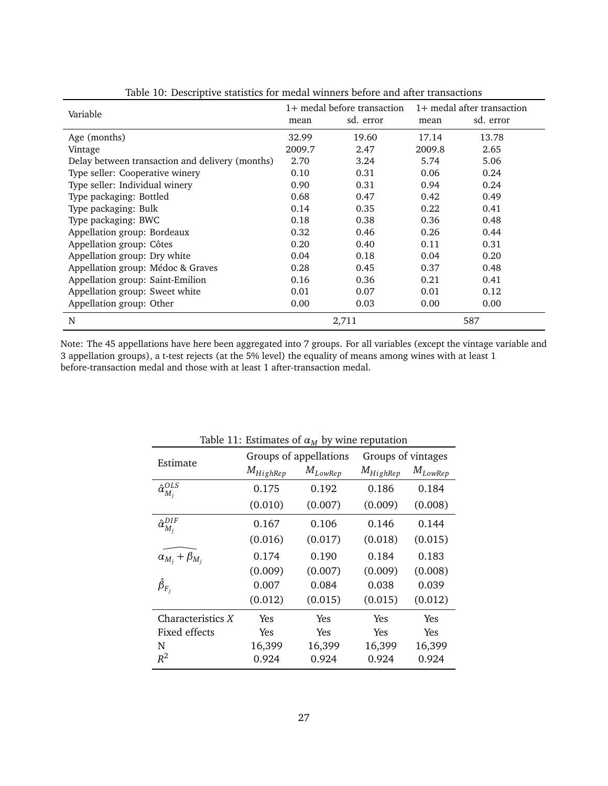| Variable                                        | mean   | 1+ medal before transaction<br>sd. error | mean   | 1+ medal after transaction<br>sd. error |
|-------------------------------------------------|--------|------------------------------------------|--------|-----------------------------------------|
| Age (months)                                    | 32.99  | 19.60                                    | 17.14  | 13.78                                   |
| Vintage                                         | 2009.7 | 2.47                                     | 2009.8 | 2.65                                    |
| Delay between transaction and delivery (months) | 2.70   | 3.24                                     | 5.74   | 5.06                                    |
| Type seller: Cooperative winery                 | 0.10   | 0.31                                     | 0.06   | 0.24                                    |
| Type seller: Individual winery                  | 0.90   | 0.31                                     | 0.94   | 0.24                                    |
| Type packaging: Bottled                         | 0.68   | 0.47                                     | 0.42   | 0.49                                    |
| Type packaging: Bulk                            | 0.14   | 0.35                                     | 0.22   | 0.41                                    |
| Type packaging: BWC                             | 0.18   | 0.38                                     | 0.36   | 0.48                                    |
| Appellation group: Bordeaux                     | 0.32   | 0.46                                     | 0.26   | 0.44                                    |
| Appellation group: Côtes                        | 0.20   | 0.40                                     | 0.11   | 0.31                                    |
| Appellation group: Dry white                    | 0.04   | 0.18                                     | 0.04   | 0.20                                    |
| Appellation group: Médoc & Graves               | 0.28   | 0.45                                     | 0.37   | 0.48                                    |
| Appellation group: Saint-Emilion                | 0.16   | 0.36                                     | 0.21   | 0.41                                    |
| Appellation group: Sweet white                  | 0.01   | 0.07                                     | 0.01   | 0.12                                    |
| Appellation group: Other                        | 0.00   | 0.03                                     | 0.00   | 0.00                                    |
| N                                               |        | 2,711                                    |        | 587                                     |

| Table 10: Descriptive statistics for medal winners before and after transactions |  |  |
|----------------------------------------------------------------------------------|--|--|
|----------------------------------------------------------------------------------|--|--|

Note: The 45 appellations have here been aggregated into 7 groups. For all variables (except the vintage variable and 3 appellation groups), a t-test rejects (at the 5% level) the equality of means among wines with at least 1 before-transaction medal and those with at least 1 after-transaction medal.

|                              |                        | IVI          | л.                 |              |
|------------------------------|------------------------|--------------|--------------------|--------------|
| Estimate                     | Groups of appellations |              | Groups of vintages |              |
|                              | $M_{HighRep}$          | $M_{LowRep}$ | $M_{HighRep}$      | $M_{LowRep}$ |
| $\hat{\alpha}_{M_j}^{OLS}$   | 0.175                  | 0.192        | 0.186              | 0.184        |
|                              | (0.010)                | (0.007)      | (0.009)            | (0.008)      |
| $\hat{\alpha}_{M_{i}}^{DIF}$ | 0.167                  | 0.106        | 0.146              | 0.144        |
|                              | (0.016)                | (0.017)      | (0.018)            | (0.015)      |
| $\alpha_{M_i} + \beta_{M_i}$ | 0.174                  | 0.190        | 0.184              | 0.183        |
|                              | (0.009)                | (0.007)      | (0.009)            | (0.008)      |
| $\hat{\beta}_{F_i}$          | 0.007                  | 0.084        | 0.038              | 0.039        |
|                              | (0.012)                | (0.015)      | (0.015)            | (0.012)      |
| Characteristics X            | Yes                    | Yes          | Yes                | Yes          |
| Fixed effects                | Yes                    | Yes          | Yes                | Yes          |
| N                            | 16,399                 | 16,399       | 16,399             | 16,399       |
| $R^2$                        | 0.924                  | 0.924        | 0.924              | 0.924        |

Table 11: Estimates of  $\alpha_M$  by wine reputation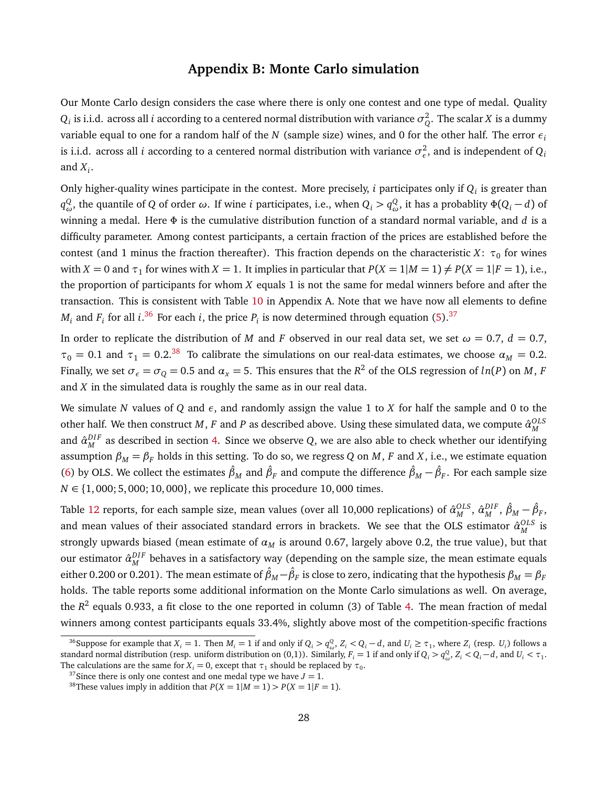### **Appendix B: Monte Carlo simulation**

Our Monte Carlo design considers the case where there is only one contest and one type of medal. Quality  $Q_i$  is i.i.d. across all *i* according to a centered normal distribution with variance  $\sigma_Q^2.$  The scalar  $X$  is a dummy variable equal to one for a random half of the *N* (sample size) wines, and 0 for the other half. The error *ε<sup>i</sup>* is i.i.d. across all *i* according to a centered normal distribution with variance  $\sigma_{\epsilon}^2$  $\epsilon^2$ , and is independent of  $Q_i$ and  $X_i$ .

Only higher-quality wines participate in the contest. More precisely, *i* participates only if *Q<sup>i</sup>* is greater than *q Q ω* , the quantile of *Q* of order *ω*. If wine *i* participates, i.e., when *Q<sup>i</sup> > q Q ω* , it has a probablity *Φ*(*Q<sup>i</sup>* − *d*) of winning a medal. Here *Φ* is the cumulative distribution function of a standard normal variable, and *d* is a difficulty parameter. Among contest participants, a certain fraction of the prices are established before the contest (and 1 minus the fraction thereafter). This fraction depends on the characteristic *X*:  $\tau_0$  for wines with  $X = 0$  and  $\tau_1$  for wines with  $X = 1$ . It implies in particular that  $P(X = 1|M = 1) \neq P(X = 1|F = 1)$ , i.e., the proportion of participants for whom *X* equals 1 is not the same for medal winners before and after the transaction. This is consistent with Table 10 in Appendix A. Note that we have now all elements to define  $M_i$  and  $F_i$  for all  $i.^{36}$  For each  $i$ , the price  $P_i$  is now determined through equation (5). $^{37}$ 

In order to replicate the distribution of *M* and *F* observed in our real data set, we set  $\omega = 0.7$ ,  $d = 0.7$ ,  $\tau_0 = 0.1$  and  $\tau_1 = 0.2$ .<sup>38</sup> To calibrate the simulations on our real-data estimates, we choose  $\alpha_M = 0.2$ . Finally, we set  $\sigma_{\epsilon}=\sigma_Q=$  0.5 and  $\alpha_x=$  5. This ensures that the  $R^2$  of the OLS regression of  $ln(P)$  on  $M$ ,  $F$ and *X* in the simulated data is roughly the same as in our real data.

We simulate *N* values of *Q* and *ε*, and randomly assign the value 1 to *X* for half the sample and 0 to the other half. We then construct  $M$ ,  $F$  and  $P$  as described above. Using these simulated data, we compute  $\hat{\alpha}_M^{OLS}$ and  $\hat{\alpha}_M^{DIF}$  as described in section 4. Since we observe *Q*, we are also able to check whether our identifying assumption  $\beta_M = \beta_F$  holds in this setting. To do so, we regress *Q* on *M*, *F* and *X*, i.e., we estimate equation (6) by OLS. We collect the estimates  $\hat{\beta}_M$  and  $\hat{\beta}_F$  and compute the difference  $\hat{\beta}_M - \hat{\beta}_F$ . For each sample size *N* ∈ {1,000; 5,000; 10,000}, we replicate this procedure 10,000 times.

Table 12 reports, for each sample size, mean values (over all 10,000 replications) of  $\hat{\alpha}_M^{OLS}$ ,  $\hat{\alpha}_M^{DIF}$ ,  $\hat{\beta}_M-\hat{\beta}_F$ , and mean values of their associated standard errors in brackets. We see that the OLS estimator  $\hat{\alpha}_M^{OLS}$  is strongly upwards biased (mean estimate of  $\alpha_M$  is around 0.67, largely above 0.2, the true value), but that our estimator  $\hat{\alpha}_M^{DIF}$  behaves in a satisfactory way (depending on the sample size, the mean estimate equals either 0.200 or 0.201). The mean estimate of  $\hat{\beta}_M - \hat{\beta}_F$  is close to zero, indicating that the hypothesis  $\beta_M = \beta_F$ holds. The table reports some additional information on the Monte Carlo simulations as well. On average, the *R*<sup>2</sup> equals 0.933, a fit close to the one reported in column (3) of Table 4. The mean fraction of medal winners among contest participants equals 33.4%, slightly above most of the competition-specific fractions

<sup>&</sup>lt;sup>36</sup>Suppose for example that  $X_i = 1$ . Then  $M_i = 1$  if and only if  $Q_i > q_\omega^Q$ ,  $Z_i < Q_i - d$ , and  $U_i \ge \tau_1$ , where  $Z_i$  (resp.  $U_i$ ) follows a standard normal distribution (resp. uniform distribution on (0,1)). Similarly,  $F_i = 1$  if and only if  $Q_i > q_\omega^Q$ ,  $Z_i < Q_i - d$ , and  $U_i < \tau_1$ . The calculations are the same for  $X_i = 0$ , except that  $\tau_1$  should be replaced by  $\tau_0$ .

<sup>&</sup>lt;sup>37</sup>Since there is only one contest and one medal type we have  $J = 1$ .

<sup>&</sup>lt;sup>38</sup>These values imply in addition that  $P(X = 1|M = 1) > P(X = 1|F = 1)$ .